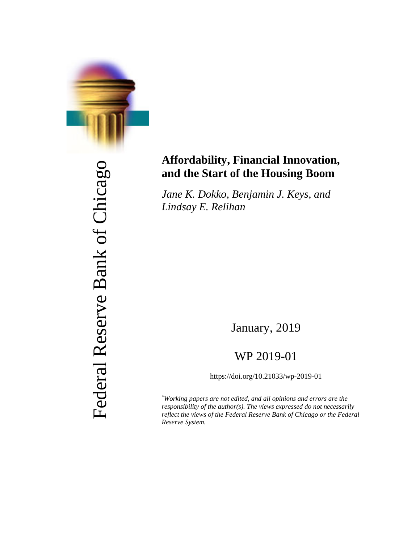

Federal Reserve Bank of Chicago Federal Reserve Bank of Chicago

# **Affordability, Financial Innovation, and the Start of the Housing Boom**

*Jane K. Dokko, Benjamin J. Keys, and Lindsay E. Relihan*

January, 2019

## WP 2019-01

https://doi.org/10.21033/wp-2019-01

\* *Working papers are not edited, and all opinions and errors are the responsibility of the author(s). The views expressed do not necessarily reflect the views of the Federal Reserve Bank of Chicago or the Federal Reserve System.*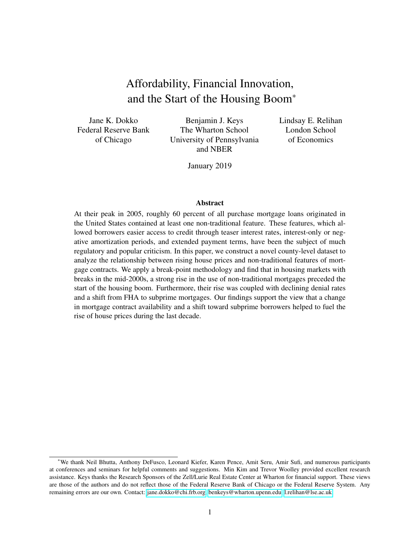## Affordability, Financial Innovation, and the Start of the Housing Boom<sup>∗</sup>

Jane K. Dokko Federal Reserve Bank of Chicago

Benjamin J. Keys The Wharton School University of Pennsylvania and NBER

Lindsay E. Relihan London School of Economics

January 2019

#### Abstract

At their peak in 2005, roughly 60 percent of all purchase mortgage loans originated in the United States contained at least one non-traditional feature. These features, which allowed borrowers easier access to credit through teaser interest rates, interest-only or negative amortization periods, and extended payment terms, have been the subject of much regulatory and popular criticism. In this paper, we construct a novel county-level dataset to analyze the relationship between rising house prices and non-traditional features of mortgage contracts. We apply a break-point methodology and find that in housing markets with breaks in the mid-2000s, a strong rise in the use of non-traditional mortgages preceded the start of the housing boom. Furthermore, their rise was coupled with declining denial rates and a shift from FHA to subprime mortgages. Our findings support the view that a change in mortgage contract availability and a shift toward subprime borrowers helped to fuel the rise of house prices during the last decade.

<sup>∗</sup>We thank Neil Bhutta, Anthony DeFusco, Leonard Kiefer, Karen Pence, Amit Seru, Amir Sufi, and numerous participants at conferences and seminars for helpful comments and suggestions. Min Kim and Trevor Woolley provided excellent research assistance. Keys thanks the Research Sponsors of the Zell/Lurie Real Estate Center at Wharton for financial support. These views are those of the authors and do not reflect those of the Federal Reserve Bank of Chicago or the Federal Reserve System. Any remaining errors are our own. Contact: [jane.dokko@chi.frb.org,](mailto:jane.dokko@chi.frb.org) [benkeys@wharton.upenn.edu,](mailto:benkeys@wharton.upenn.edu) [l.relihan@lse.ac.uk.](mailto:l.relihan@lse.ac.uk)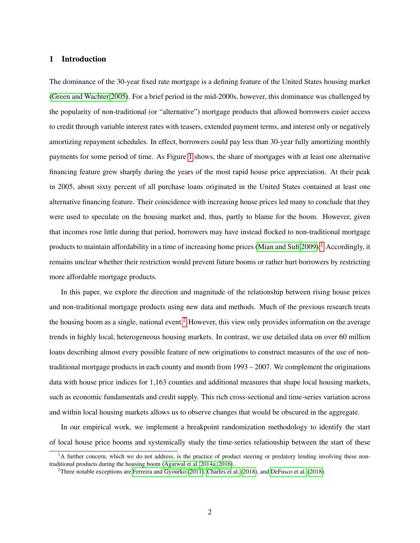## 1 Introduction

The dominance of the 30-year fixed rate mortgage is a defining feature of the United States housing market [\(Green and Wachter 2005\)](#page-28-0). For a brief period in the mid-2000s, however, this dominance was challenged by the popularity of non-traditional (or "alternative") mortgage products that allowed borrowers easier access to credit through variable interest rates with teasers, extended payment terms, and interest only or negatively amortizing repayment schedules. In effect, borrowers could pay less than 30-year fully amortizing monthly payments for some period of time. As Figure [1](#page-30-0) shows, the share of mortgages with at least one alternative financing feature grew sharply during the years of the most rapid house price appreciation. At their peak in 2005, about sixty percent of all purchase loans originated in the United States contained at least one alternative financing feature. Their coincidence with increasing house prices led many to conclude that they were used to speculate on the housing market and, thus, partly to blame for the boom. However, given that incomes rose little during that period, borrowers may have instead flocked to non-traditional mortgage products to maintain affordability in a time of increasing home prices [\(Mian and Sufi 2009\)](#page-29-0).<sup>[1](#page-2-0)</sup> Accordingly, it remains unclear whether their restriction would prevent future booms or rather hurt borrowers by restricting more affordable mortgage products.

In this paper, we explore the direction and magnitude of the relationship between rising house prices and non-traditional mortgage products using new data and methods. Much of the previous research treats the housing boom as a single, national event.<sup>[2](#page-2-1)</sup> However, this view only provides information on the average trends in highly local, heterogeneous housing markets. In contrast, we use detailed data on over 60 million loans describing almost every possible feature of new originations to construct measures of the use of nontraditional mortgage products in each county and month from 1993 – 2007. We complement the originations data with house price indices for 1,163 counties and additional measures that shape local housing markets, such as economic fundamentals and credit supply. This rich cross-sectional and time-series variation across and within local housing markets allows us to observe changes that would be obscured in the aggregate.

In our empirical work, we implement a breakpoint randomization methodology to identify the start of local house price booms and systemically study the time-series relationship between the start of these

<span id="page-2-0"></span><sup>&</sup>lt;sup>1</sup>A further concern, which we do not address, is the practice of product steering or predatory lending involving these nontraditional products during the housing boom [\(Agarwal et al. 2014a,](#page-27-0) [2016\)](#page-27-1) .

<span id="page-2-1"></span><sup>&</sup>lt;sup>2</sup>Three notable exceptions are [Ferreira and Gyourko](#page-28-1) [\(2011\)](#page-28-1), [Charles et al.](#page-27-2) [\(2018\)](#page-27-3), and [DeFusco et al.](#page-27-3) (2018).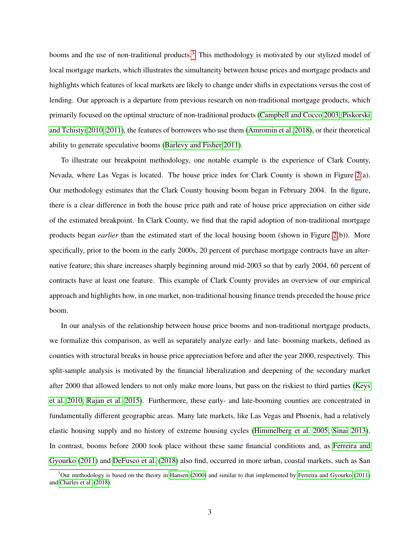booms and the use of non-traditional products.<sup>[3](#page-3-0)</sup> This methodology is motivated by our stylized model of local mortgage markets, which illustrates the simultaneity between house prices and mortgage products and highlights which features of local markets are likely to change under shifts in expectations versus the cost of lending. Our approach is a departure from previous research on non-traditional mortgage products, which primarily focused on the optimal structure of non-traditional products [\(Campbell and Cocco 2003;](#page-27-4) [Piskorski](#page-29-1) [and Tchistyi 2010,](#page-29-1) [2011\)](#page-29-2), the features of borrowers who use them [\(Amromin et al. 2018\)](#page-27-5), or their theoretical ability to generate speculative booms [\(Barlevy and Fisher 2011\)](#page-27-6).

To illustrate our breakpoint methodology, one notable example is the experience of Clark County, Nevada, where Las Vegas is located. The house price index for Clark County is shown in Figure [2\(](#page-31-0)a). Our methodology estimates that the Clark County housing boom began in February 2004. In the figure, there is a clear difference in both the house price path and rate of house price appreciation on either side of the estimated breakpoint. In Clark County, we find that the rapid adoption of non-traditional mortgage products began *earlier* than the estimated start of the local housing boom (shown in Figure [2\(](#page-31-0)b)). More specifically, prior to the boom in the early 2000s, 20 percent of purchase mortgage contracts have an alternative feature; this share increases sharply beginning around mid-2003 so that by early 2004, 60 percent of contracts have at least one feature. This example of Clark County provides an overview of our empirical approach and highlights how, in one market, non-traditional housing finance trends preceded the house price boom.

In our analysis of the relationship between house price booms and non-traditional mortgage products, we formalize this comparison, as well as separately analyze early- and late- booming markets, defined as counties with structural breaks in house price appreciation before and after the year 2000, respectively. This split-sample analysis is motivated by the financial liberalization and deepening of the secondary market after 2000 that allowed lenders to not only make more loans, but pass on the riskiest to third parties [\(Keys](#page-29-3) [et al. 2010;](#page-29-3) [Rajan et al. 2015\)](#page-29-4). Furthermore, these early- and late-booming counties are concentrated in fundamentally different geographic areas. Many late markets, like Las Vegas and Phoenix, had a relatively elastic housing supply and no history of extreme housing cycles [\(Himmelberg et al. 2005;](#page-28-2) [Sinai 2013\)](#page-29-5). In contrast, booms before 2000 took place without these same financial conditions and, as [Ferreira and](#page-28-1) [Gyourko](#page-28-1) [\(2011\)](#page-28-1) and [DeFusco et al.](#page-27-3) [\(2018\)](#page-27-3) also find, occurred in more urban, coastal markets, such as San

<span id="page-3-0"></span><sup>&</sup>lt;sup>3</sup>Our methodology is based on the theory in [Hansen](#page-28-3) [\(2000\)](#page-28-3) and similar to that implemented by [Ferreira and Gyourko](#page-28-1) [\(2011\)](#page-28-1) and [Charles et al.](#page-27-2) [\(2018\)](#page-27-2).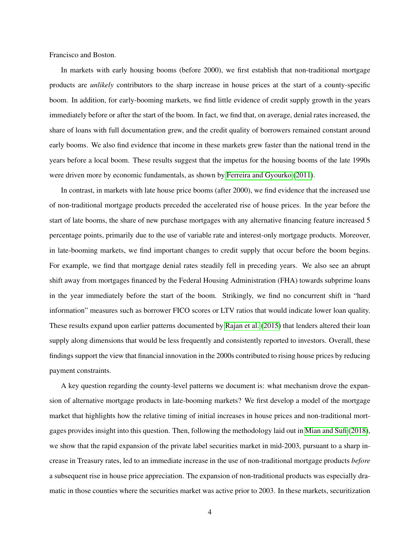Francisco and Boston.

In markets with early housing booms (before 2000), we first establish that non-traditional mortgage products are *unlikely* contributors to the sharp increase in house prices at the start of a county-specific boom. In addition, for early-booming markets, we find little evidence of credit supply growth in the years immediately before or after the start of the boom. In fact, we find that, on average, denial rates increased, the share of loans with full documentation grew, and the credit quality of borrowers remained constant around early booms. We also find evidence that income in these markets grew faster than the national trend in the years before a local boom. These results suggest that the impetus for the housing booms of the late 1990s were driven more by economic fundamentals, as shown by [Ferreira and Gyourko](#page-28-1) [\(2011\)](#page-28-1).

In contrast, in markets with late house price booms (after 2000), we find evidence that the increased use of non-traditional mortgage products preceded the accelerated rise of house prices. In the year before the start of late booms, the share of new purchase mortgages with any alternative financing feature increased 5 percentage points, primarily due to the use of variable rate and interest-only mortgage products. Moreover, in late-booming markets, we find important changes to credit supply that occur before the boom begins. For example, we find that mortgage denial rates steadily fell in preceding years. We also see an abrupt shift away from mortgages financed by the Federal Housing Administration (FHA) towards subprime loans in the year immediately before the start of the boom. Strikingly, we find no concurrent shift in "hard information" measures such as borrower FICO scores or LTV ratios that would indicate lower loan quality. These results expand upon earlier patterns documented by [Rajan et al.](#page-29-4) [\(2015\)](#page-29-4) that lenders altered their loan supply along dimensions that would be less frequently and consistently reported to investors. Overall, these findings support the view that financial innovation in the 2000s contributed to rising house prices by reducing payment constraints.

A key question regarding the county-level patterns we document is: what mechanism drove the expansion of alternative mortgage products in late-booming markets? We first develop a model of the mortgage market that highlights how the relative timing of initial increases in house prices and non-traditional mortgages provides insight into this question. Then, following the methodology laid out in [Mian and Sufi](#page-29-6) [\(2018\)](#page-29-6), we show that the rapid expansion of the private label securities market in mid-2003, pursuant to a sharp increase in Treasury rates, led to an immediate increase in the use of non-traditional mortgage products *before* a subsequent rise in house price appreciation. The expansion of non-traditional products was especially dramatic in those counties where the securities market was active prior to 2003. In these markets, securitization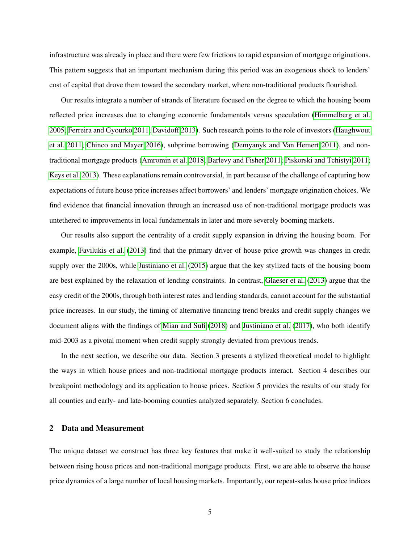infrastructure was already in place and there were few frictions to rapid expansion of mortgage originations. This pattern suggests that an important mechanism during this period was an exogenous shock to lenders' cost of capital that drove them toward the secondary market, where non-traditional products flourished.

Our results integrate a number of strands of literature focused on the degree to which the housing boom reflected price increases due to changing economic fundamentals versus speculation [\(Himmelberg et al.](#page-28-2) [2005;](#page-28-2) [Ferreira and Gyourko 2011;](#page-28-1) [Davidoff 2013\)](#page-27-7). Such research points to the role of investors [\(Haughwout](#page-28-4) [et al. 2011;](#page-28-4) [Chinco and Mayer 2016\)](#page-27-8), subprime borrowing [\(Demyanyk and Van Hemert 2011\)](#page-27-9), and nontraditional mortgage products [\(Amromin et al. 2018;](#page-27-5) [Barlevy and Fisher 2011;](#page-27-6) [Piskorski and Tchistyi 2011;](#page-29-2) [Keys et al. 2013\)](#page-29-7). These explanations remain controversial, in part because of the challenge of capturing how expectations of future house price increases affect borrowers' and lenders' mortgage origination choices. We find evidence that financial innovation through an increased use of non-traditional mortgage products was untethered to improvements in local fundamentals in later and more severely booming markets.

Our results also support the centrality of a credit supply expansion in driving the housing boom. For example, [Favilukis et al.](#page-28-5) [\(2013\)](#page-28-5) find that the primary driver of house price growth was changes in credit supply over the 2000s, while [Justiniano et al.](#page-28-6) [\(2015\)](#page-28-6) argue that the key stylized facts of the housing boom are best explained by the relaxation of lending constraints. In contrast, [Glaeser et al.](#page-28-7) [\(2013\)](#page-28-7) argue that the easy credit of the 2000s, through both interest rates and lending standards, cannot account for the substantial price increases. In our study, the timing of alternative financing trend breaks and credit supply changes we document aligns with the findings of [Mian and Sufi](#page-29-6) [\(2018\)](#page-29-6) and [Justiniano et al.](#page-28-8) [\(2017\)](#page-28-8), who both identify mid-2003 as a pivotal moment when credit supply strongly deviated from previous trends.

In the next section, we describe our data. Section 3 presents a stylized theoretical model to highlight the ways in which house prices and non-traditional mortgage products interact. Section 4 describes our breakpoint methodology and its application to house prices. Section 5 provides the results of our study for all counties and early- and late-booming counties analyzed separately. Section 6 concludes.

## 2 Data and Measurement

The unique dataset we construct has three key features that make it well-suited to study the relationship between rising house prices and non-traditional mortgage products. First, we are able to observe the house price dynamics of a large number of local housing markets. Importantly, our repeat-sales house price indices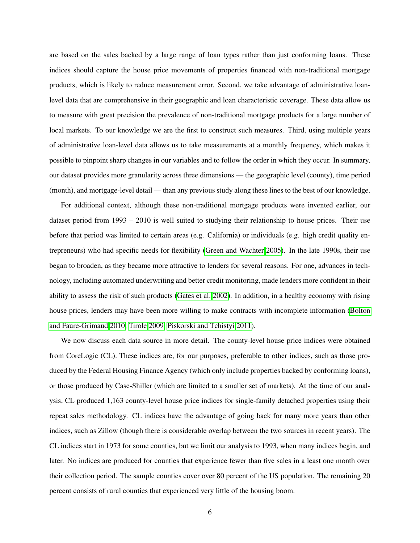are based on the sales backed by a large range of loan types rather than just conforming loans. These indices should capture the house price movements of properties financed with non-traditional mortgage products, which is likely to reduce measurement error. Second, we take advantage of administrative loanlevel data that are comprehensive in their geographic and loan characteristic coverage. These data allow us to measure with great precision the prevalence of non-traditional mortgage products for a large number of local markets. To our knowledge we are the first to construct such measures. Third, using multiple years of administrative loan-level data allows us to take measurements at a monthly frequency, which makes it possible to pinpoint sharp changes in our variables and to follow the order in which they occur. In summary, our dataset provides more granularity across three dimensions — the geographic level (county), time period (month), and mortgage-level detail — than any previous study along these lines to the best of our knowledge.

For additional context, although these non-traditional mortgage products were invented earlier, our dataset period from 1993 – 2010 is well suited to studying their relationship to house prices. Their use before that period was limited to certain areas (e.g. California) or individuals (e.g. high credit quality entrepreneurs) who had specific needs for flexibility [\(Green and Wachter 2005\)](#page-28-0). In the late 1990s, their use began to broaden, as they became more attractive to lenders for several reasons. For one, advances in technology, including automated underwriting and better credit monitoring, made lenders more confident in their ability to assess the risk of such products [\(Gates et al. 2002\)](#page-28-9). In addition, in a healthy economy with rising house prices, lenders may have been more willing to make contracts with incomplete information [\(Bolton](#page-27-10) [and Faure-Grimaud 2010;](#page-27-10) [Tirole 2009;](#page-29-8) [Piskorski and Tchistyi 2011\)](#page-29-2).

We now discuss each data source in more detail. The county-level house price indices were obtained from CoreLogic (CL). These indices are, for our purposes, preferable to other indices, such as those produced by the Federal Housing Finance Agency (which only include properties backed by conforming loans), or those produced by Case-Shiller (which are limited to a smaller set of markets). At the time of our analysis, CL produced 1,163 county-level house price indices for single-family detached properties using their repeat sales methodology. CL indices have the advantage of going back for many more years than other indices, such as Zillow (though there is considerable overlap between the two sources in recent years). The CL indices start in 1973 for some counties, but we limit our analysis to 1993, when many indices begin, and later. No indices are produced for counties that experience fewer than five sales in a least one month over their collection period. The sample counties cover over 80 percent of the US population. The remaining 20 percent consists of rural counties that experienced very little of the housing boom.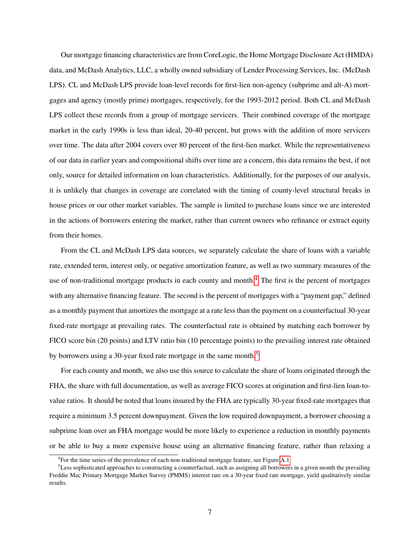Our mortgage financing characteristics are from CoreLogic, the Home Mortgage Disclosure Act (HMDA) data, and McDash Analytics, LLC, a wholly owned subsidiary of Lender Processing Services, Inc. (McDash LPS). CL and McDash LPS provide loan-level records for first-lien non-agency (subprime and alt-A) mortgages and agency (mostly prime) mortgages, respectively, for the 1993-2012 period. Both CL and McDash LPS collect these records from a group of mortgage servicers. Their combined coverage of the mortgage market in the early 1990s is less than ideal, 20-40 percent, but grows with the addition of more servicers over time. The data after 2004 covers over 80 percent of the first-lien market. While the representativeness of our data in earlier years and compositional shifts over time are a concern, this data remains the best, if not only, source for detailed information on loan characteristics. Additionally, for the purposes of our analysis, it is unlikely that changes in coverage are correlated with the timing of county-level structural breaks in house prices or our other market variables. The sample is limited to purchase loans since we are interested in the actions of borrowers entering the market, rather than current owners who refinance or extract equity from their homes.

From the CL and McDash LPS data sources, we separately calculate the share of loans with a variable rate, extended term, interest only, or negative amortization feature, as well as two summary measures of the use of non-traditional mortgage products in each county and month.<sup>[4](#page-7-0)</sup> The first is the percent of mortgages with any alternative financing feature. The second is the percent of mortgages with a "payment gap," defined as a monthly payment that amortizes the mortgage at a rate less than the payment on a counterfactual 30-year fixed-rate mortgage at prevailing rates. The counterfactual rate is obtained by matching each borrower by FICO score bin (20 points) and LTV ratio bin (10 percentage points) to the prevailing interest rate obtained by borrowers using a 30-year fixed rate mortgage in the same month.<sup>[5](#page-7-1)</sup>

For each county and month, we also use this source to calculate the share of loans originated through the FHA, the share with full documentation, as well as average FICO scores at origination and first-lien loan-tovalue ratios. It should be noted that loans insured by the FHA are typically 30-year fixed-rate mortgages that require a minimum 3.5 percent downpayment. Given the low required downpayment, a borrower choosing a subprime loan over an FHA mortgage would be more likely to experience a reduction in monthly payments or be able to buy a more expensive house using an alternative financing feature, rather than relaxing a

<span id="page-7-1"></span><span id="page-7-0"></span><sup>&</sup>lt;sup>4</sup> For the time series of the prevalence of each non-traditional mortgage feature, see Figure [A.1.](#page-47-0)

<sup>&</sup>lt;sup>5</sup>Less sophisticated approaches to constructing a counterfactual, such as assigning all borrowers in a given month the prevailing Freddie Mac Primary Mortgage Market Survey (PMMS) interest rate on a 30-year fixed rate mortgage, yield qualitatively similar results.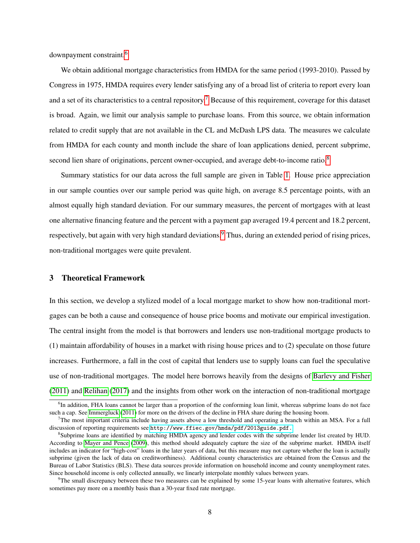downpayment constraint.[6](#page-8-0)

We obtain additional mortgage characteristics from HMDA for the same period (1993-2010). Passed by Congress in 1975, HMDA requires every lender satisfying any of a broad list of criteria to report every loan and a set of its characteristics to a central repository.<sup>[7](#page-8-1)</sup> Because of this requirement, coverage for this dataset is broad. Again, we limit our analysis sample to purchase loans. From this source, we obtain information related to credit supply that are not available in the CL and McDash LPS data. The measures we calculate from HMDA for each county and month include the share of loan applications denied, percent subprime, second lien share of originations, percent owner-occupied, and average debt-to-income ratio.<sup>[8](#page-8-2)</sup>

Summary statistics for our data across the full sample are given in Table [1.](#page-44-0) House price appreciation in our sample counties over our sample period was quite high, on average 8.5 percentage points, with an almost equally high standard deviation. For our summary measures, the percent of mortgages with at least one alternative financing feature and the percent with a payment gap averaged 19.4 percent and 18.2 percent, respectively, but again with very high standard deviations.<sup>[9](#page-8-3)</sup> Thus, during an extended period of rising prices, non-traditional mortgages were quite prevalent.

#### 3 Theoretical Framework

In this section, we develop a stylized model of a local mortgage market to show how non-traditional mortgages can be both a cause and consequence of house price booms and motivate our empirical investigation. The central insight from the model is that borrowers and lenders use non-traditional mortgage products to (1) maintain affordability of houses in a market with rising house prices and to (2) speculate on those future increases. Furthermore, a fall in the cost of capital that lenders use to supply loans can fuel the speculative use of non-traditional mortgages. The model here borrows heavily from the designs of [Barlevy and Fisher](#page-27-6) [\(2011\)](#page-27-6) and [Relihan](#page-29-9) [\(2017\)](#page-29-9) and the insights from other work on the interaction of non-traditional mortgage

<span id="page-8-0"></span><sup>&</sup>lt;sup>6</sup>In addition, FHA loans cannot be larger than a proportion of the conforming loan limit, whereas subprime loans do not face such a cap. See [Immergluck](#page-28-10) [\(2011\)](#page-28-10) for more on the drivers of the decline in FHA share during the housing boom.

<span id="page-8-1"></span> $<sup>7</sup>$ The most important criteria include having assets above a low threshold and operating a branch within an MSA. For a full</sup> discussion of reporting requirements see <http://www.ffiec.gov/hmda/pdf/2013guide.pdf.>

<span id="page-8-2"></span><sup>&</sup>lt;sup>8</sup>Subprime loans are identified by matching HMDA agency and lender codes with the subprime lender list created by HUD. According to [Mayer and Pence](#page-29-10) [\(2009\)](#page-29-10), this method should adequately capture the size of the subprime market. HMDA itself includes an indicator for "high-cost" loans in the later years of data, but this measure may not capture whether the loan is actually subprime (given the lack of data on creditworthiness). Additional county characteristics are obtained from the Census and the Bureau of Labor Statistics (BLS). These data sources provide information on household income and county unemployment rates. Since household income is only collected annually, we linearly interpolate monthly values between years.

<span id="page-8-3"></span> $9$ The small discrepancy between these two measures can be explained by some 15-year loans with alternative features, which sometimes pay more on a monthly basis than a 30-year fixed rate mortgage.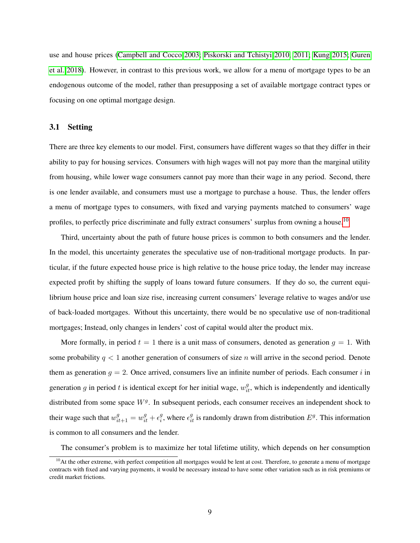use and house prices [\(Campbell and Cocco 2003;](#page-27-4) [Piskorski and Tchistyi 2010,](#page-29-1) [2011;](#page-29-2) [Kung 2015;](#page-29-11) [Guren](#page-28-11) [et al. 2018\)](#page-28-11). However, in contrast to this previous work, we allow for a menu of mortgage types to be an endogenous outcome of the model, rather than presupposing a set of available mortgage contract types or focusing on one optimal mortgage design.

#### 3.1 Setting

There are three key elements to our model. First, consumers have different wages so that they differ in their ability to pay for housing services. Consumers with high wages will not pay more than the marginal utility from housing, while lower wage consumers cannot pay more than their wage in any period. Second, there is one lender available, and consumers must use a mortgage to purchase a house. Thus, the lender offers a menu of mortgage types to consumers, with fixed and varying payments matched to consumers' wage profiles, to perfectly price discriminate and fully extract consumers' surplus from owning a house.<sup>[10](#page-9-0)</sup>

Third, uncertainty about the path of future house prices is common to both consumers and the lender. In the model, this uncertainty generates the speculative use of non-traditional mortgage products. In particular, if the future expected house price is high relative to the house price today, the lender may increase expected profit by shifting the supply of loans toward future consumers. If they do so, the current equilibrium house price and loan size rise, increasing current consumers' leverage relative to wages and/or use of back-loaded mortgages. Without this uncertainty, there would be no speculative use of non-traditional mortgages; Instead, only changes in lenders' cost of capital would alter the product mix.

More formally, in period  $t = 1$  there is a unit mass of consumers, denoted as generation  $g = 1$ . With some probability  $q < 1$  another generation of consumers of size n will arrive in the second period. Denote them as generation  $g = 2$ . Once arrived, consumers live an infinite number of periods. Each consumer i in generation g in period t is identical except for her initial wage,  $w_{it}^g$ , which is independently and identically distributed from some space  $W<sup>g</sup>$ . In subsequent periods, each consumer receives an independent shock to their wage such that  $w_{it+1}^g = w_{it}^g + \epsilon_i^g$  $\mathcal{E}_i^g$ , where  $\epsilon_{it}^g$  is randomly drawn from distribution  $E^g$ . This information is common to all consumers and the lender.

The consumer's problem is to maximize her total lifetime utility, which depends on her consumption

<span id="page-9-0"></span> $10$ At the other extreme, with perfect competition all mortgages would be lent at cost. Therefore, to generate a menu of mortgage contracts with fixed and varying payments, it would be necessary instead to have some other variation such as in risk premiums or credit market frictions.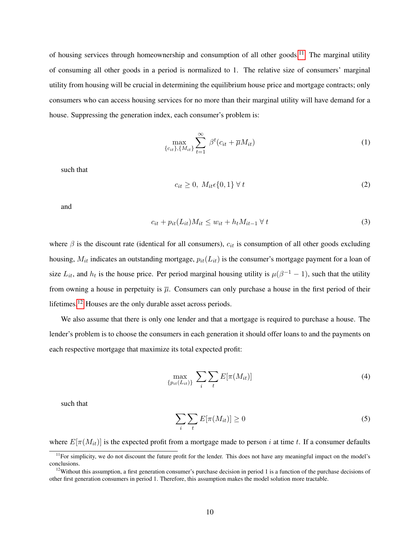of housing services through homeownership and consumption of all other goods.<sup>[11](#page-10-0)</sup> The marginal utility of consuming all other goods in a period is normalized to 1. The relative size of consumers' marginal utility from housing will be crucial in determining the equilibrium house price and mortgage contracts; only consumers who can access housing services for no more than their marginal utility will have demand for a house. Suppressing the generation index, each consumer's problem is:

$$
\max_{\{c_{it}\},\{M_{it}\}} \sum_{t=1}^{\infty} \beta^t (c_{it} + \overline{\mu} M_{it}) \tag{1}
$$

such that

$$
c_{it} \ge 0, M_{it} \in \{0, 1\} \,\forall \, t \tag{2}
$$

and

$$
c_{it} + p_{it}(L_{it})M_{it} \le w_{it} + h_t M_{it-1} \ \forall \ t \tag{3}
$$

where  $\beta$  is the discount rate (identical for all consumers),  $c_{it}$  is consumption of all other goods excluding housing,  $M_{it}$  indicates an outstanding mortgage,  $p_{it}(L_{it})$  is the consumer's mortgage payment for a loan of size  $L_{it}$ , and  $h_t$  is the house price. Per period marginal housing utility is  $\mu(\beta^{-1} - 1)$ , such that the utility from owning a house in perpetuity is  $\overline{\mu}$ . Consumers can only purchase a house in the first period of their lifetimes.<sup>[12](#page-10-1)</sup> Houses are the only durable asset across periods.

We also assume that there is only one lender and that a mortgage is required to purchase a house. The lender's problem is to choose the consumers in each generation it should offer loans to and the payments on each respective mortgage that maximize its total expected profit:

$$
\max_{\{p_{it}(L_{it})\}} \sum_{i} \sum_{t} E[\pi(M_{it})] \tag{4}
$$

such that

$$
\sum_{i} \sum_{t} E[\pi(M_{it})] \ge 0 \tag{5}
$$

where  $E[\pi(M_{it})]$  is the expected profit from a mortgage made to person i at time t. If a consumer defaults

<span id="page-10-0"></span><sup>&</sup>lt;sup>11</sup>For simplicity, we do not discount the future profit for the lender. This does not have any meaningful impact on the model's conclusions.

<span id="page-10-1"></span><sup>&</sup>lt;sup>12</sup>Without this assumption, a first generation consumer's purchase decision in period 1 is a function of the purchase decisions of other first generation consumers in period 1. Therefore, this assumption makes the model solution more tractable.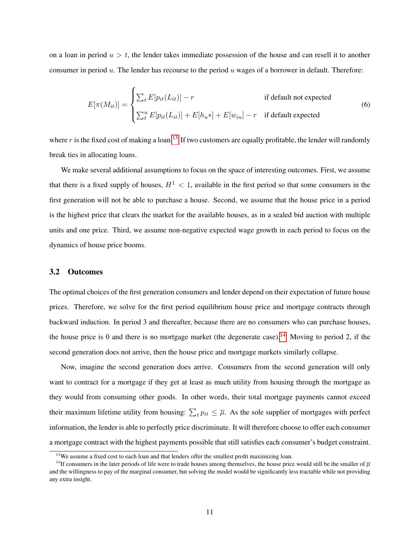on a loan in period  $u > t$ , the lender takes immediate possession of the house and can resell it to another consumer in period  $u$ . The lender has recourse to the period  $u$  wages of a borrower in default. Therefore:

$$
E[\pi(M_{it})] = \begin{cases} \sum_{t} E[p_{it}(L_{it})] - r & \text{if default not expected} \\ \sum_{t}^{u} E[p_{it}(L_{it})] + E[h_{u} *] + E[w_{iu}] - r & \text{if default expected} \end{cases}
$$
(6)

where r is the fixed cost of making a loan.<sup>[13](#page-11-0)</sup> If two customers are equally profitable, the lender will randomly break ties in allocating loans.

We make several additional assumptions to focus on the space of interesting outcomes. First, we assume that there is a fixed supply of houses,  $H^1 < 1$ , available in the first period so that some consumers in the first generation will not be able to purchase a house. Second, we assume that the house price in a period is the highest price that clears the market for the available houses, as in a sealed bid auction with multiple units and one price. Third, we assume non-negative expected wage growth in each period to focus on the dynamics of house price booms.

## 3.2 Outcomes

The optimal choices of the first generation consumers and lender depend on their expectation of future house prices. Therefore, we solve for the first period equilibrium house price and mortgage contracts through backward induction. In period 3 and thereafter, because there are no consumers who can purchase houses, the house price is 0 and there is no mortgage market (the degenerate case).<sup>[14](#page-11-1)</sup> Moving to period 2, if the second generation does not arrive, then the house price and mortgage markets similarly collapse.

Now, imagine the second generation does arrive. Consumers from the second generation will only want to contract for a mortgage if they get at least as much utility from housing through the mortgage as they would from consuming other goods. In other words, their total mortgage payments cannot exceed their maximum lifetime utility from housing:  $\sum_t p_{it} \leq \overline{\mu}$ . As the sole supplier of mortgages with perfect information, the lender is able to perfectly price discriminate. It will therefore choose to offer each consumer a mortgage contract with the highest payments possible that still satisfies each consumer's budget constraint.

<span id="page-11-1"></span><span id="page-11-0"></span><sup>&</sup>lt;sup>13</sup>We assume a fixed cost to each loan and that lenders offer the smallest profit maximizing loan.

<sup>&</sup>lt;sup>14</sup>If consumers in the later periods of life were to trade houses among themselves, the house price would still be the smaller of  $\overline{\mu}$ and the willingness to pay of the marginal consumer, but solving the model would be significantly less tractable while not providing any extra insight.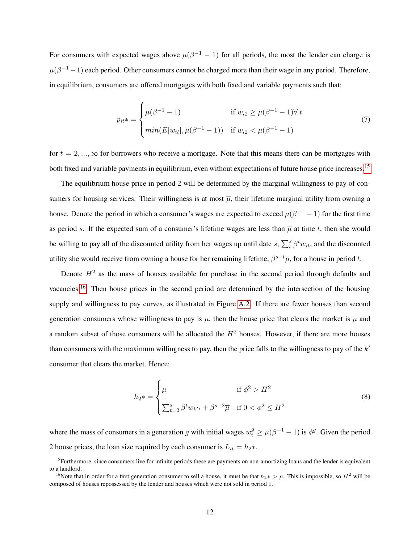For consumers with expected wages above  $\mu(\beta^{-1} - 1)$  for all periods, the most the lender can charge is  $\mu(\beta^{-1}-1)$  each period. Other consumers cannot be charged more than their wage in any period. Therefore, in equilibrium, consumers are offered mortgages with both fixed and variable payments such that:

$$
p_{it} = \begin{cases} \mu(\beta^{-1} - 1) & \text{if } w_{i2} \ge \mu(\beta^{-1} - 1) \forall t \\ \min(E[w_{it}], \mu(\beta^{-1} - 1)) & \text{if } w_{i2} < \mu(\beta^{-1} - 1) \end{cases}
$$
(7)

for  $t = 2, ..., \infty$  for borrowers who receive a mortgage. Note that this means there can be mortgages with both fixed and variable payments in equilibrium, even without expectations of future house price increases.[15](#page-12-0)

The equilibrium house price in period 2 will be determined by the marginal willingness to pay of consumers for housing services. Their willingness is at most  $\overline{\mu}$ , their lifetime marginal utility from owning a house. Denote the period in which a consumer's wages are expected to exceed  $\mu(\beta^{-1} - 1)$  for the first time as period s. If the expected sum of a consumer's lifetime wages are less than  $\overline{\mu}$  at time t, then she would be willing to pay all of the discounted utility from her wages up until date  $s$ ,  $\sum_{t}^{s} \beta^t w_{it}$ , and the discounted utility she would receive from owning a house for her remaining lifetime,  $\beta^{s-t}\overline{\mu}$ , for a house in period t.

Denote  $H<sup>2</sup>$  as the mass of houses available for purchase in the second period through defaults and vacancies.[16](#page-12-1) Then house prices in the second period are determined by the intersection of the housing supply and willingness to pay curves, as illustrated in Figure [A.2.](#page-48-0) If there are fewer houses than second generation consumers whose willingness to pay is  $\bar{\mu}$ , then the house price that clears the market is  $\bar{\mu}$  and a random subset of those consumers will be allocated the  $H<sup>2</sup>$  houses. However, if there are more houses than consumers with the maximum willingness to pay, then the price falls to the willingness to pay of the  $k'$ consumer that clears the market. Hence:

$$
h_{2} * = \begin{cases} \overline{\mu} & \text{if } \phi^{2} > H^{2} \\ \sum_{t=2}^{s} \beta^{t} w_{k't} + \beta^{s-2} \overline{\mu} & \text{if } 0 < \phi^{2} \leq H^{2} \end{cases}
$$
(8)

where the mass of consumers in a generation g with initial wages  $w_i^g \ge \mu(\beta^{-1} - 1)$  is  $\phi^g$ . Given the period 2 house prices, the loan size required by each consumer is  $L_{it} = h_2 *$ .

<span id="page-12-0"></span><sup>&</sup>lt;sup>15</sup>Furthermore, since consumers live for infinite periods these are payments on non-amortizing loans and the lender is equivalent to a landlord.

<span id="page-12-1"></span><sup>&</sup>lt;sup>16</sup>Note that in order for a first generation consumer to sell a house, it must be that  $h_{2} \gg \overline{\mu}$ . This is impossible, so  $H^2$  will be composed of houses repossessed by the lender and houses which were not sold in period 1.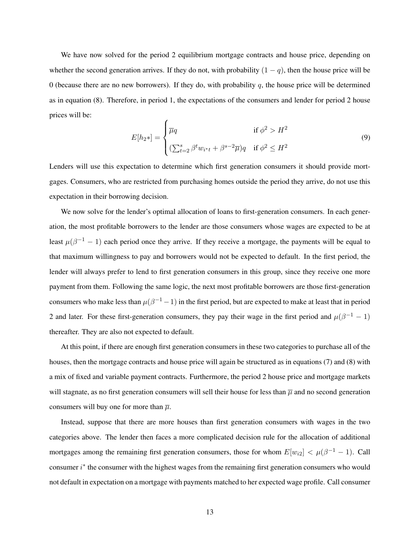We have now solved for the period 2 equilibrium mortgage contracts and house price, depending on whether the second generation arrives. If they do not, with probability  $(1 - q)$ , then the house price will be 0 (because there are no new borrowers). If they do, with probability q, the house price will be determined as in equation (8). Therefore, in period 1, the expectations of the consumers and lender for period 2 house prices will be:

$$
E[h_{2}*] = \begin{cases} \overline{\mu}q & \text{if } \phi^{2} > H^{2} \\ (\sum_{t=2}^{s} \beta^{t} w_{i^{*}t} + \beta^{s-2} \overline{\mu})q & \text{if } \phi^{2} \leq H^{2} \end{cases}
$$
(9)

Lenders will use this expectation to determine which first generation consumers it should provide mortgages. Consumers, who are restricted from purchasing homes outside the period they arrive, do not use this expectation in their borrowing decision.

We now solve for the lender's optimal allocation of loans to first-generation consumers. In each generation, the most profitable borrowers to the lender are those consumers whose wages are expected to be at least  $\mu(\beta^{-1} - 1)$  each period once they arrive. If they receive a mortgage, the payments will be equal to that maximum willingness to pay and borrowers would not be expected to default. In the first period, the lender will always prefer to lend to first generation consumers in this group, since they receive one more payment from them. Following the same logic, the next most profitable borrowers are those first-generation consumers who make less than  $\mu(\beta^{-1}-1)$  in the first period, but are expected to make at least that in period 2 and later. For these first-generation consumers, they pay their wage in the first period and  $\mu(\beta^{-1} - 1)$ thereafter. They are also not expected to default.

At this point, if there are enough first generation consumers in these two categories to purchase all of the houses, then the mortgage contracts and house price will again be structured as in equations (7) and (8) with a mix of fixed and variable payment contracts. Furthermore, the period 2 house price and mortgage markets will stagnate, as no first generation consumers will sell their house for less than  $\overline{\mu}$  and no second generation consumers will buy one for more than  $\overline{\mu}$ .

Instead, suppose that there are more houses than first generation consumers with wages in the two categories above. The lender then faces a more complicated decision rule for the allocation of additional mortgages among the remaining first generation consumers, those for whom  $E[w_{i2}] < \mu(\beta^{-1} - 1)$ . Call consumer  $i^*$  the consumer with the highest wages from the remaining first generation consumers who would not default in expectation on a mortgage with payments matched to her expected wage profile. Call consumer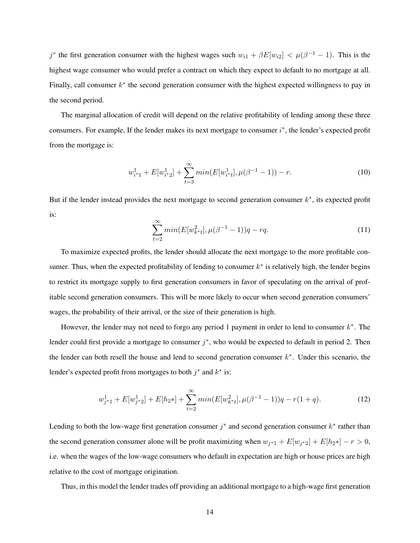j<sup>\*</sup> the first generation consumer with the highest wages such  $w_{i1} + \beta E[w_{i2}] < \mu(\beta^{-1} - 1)$ . This is the highest wage consumer who would prefer a contract on which they expect to default to no mortgage at all. Finally, call consumer  $k^*$  the second generation consumer with the highest expected willingness to pay in the second period.

The marginal allocation of credit will depend on the relative profitability of lending among these three consumers. For example, If the lender makes its next mortgage to consumer  $i^*$ , the lender's expected profit from the mortgage is:

$$
w_{i^*1}^1 + E[w_{i^*2}^1] + \sum_{t=3}^{\infty} min(E[w_{i^*t}^1], \mu(\beta^{-1} - 1)) - r.
$$
 (10)

But if the lender instead provides the next mortgage to second generation consumer  $k^*$ , its expected profit is:

$$
\sum_{t=2}^{\infty} \min(E[w_{k*t}^2], \mu(\beta^{-1} - 1))q - rq.
$$
\n(11)

To maximize expected profits, the lender should allocate the next mortgage to the more profitable consumer. Thus, when the expected profitability of lending to consumer  $k^*$  is relatively high, the lender begins to restrict its mortgage supply to first generation consumers in favor of speculating on the arrival of profitable second generation consumers. This will be more likely to occur when second generation consumers' wages, the probability of their arrival, or the size of their generation is high.

However, the lender may not need to forgo any period 1 payment in order to lend to consumer  $k^*$ . The lender could first provide a mortgage to consumer  $j^*$ , who would be expected to default in period 2. Then the lender can both resell the house and lend to second generation consumer  $k^*$ . Under this scenario, the lender's expected profit from mortgages to both  $j^*$  and  $k^*$  is:

$$
w_{j+1}^1 + E[w_{j+2}^1] + E[h_{2}!] + \sum_{t=2}^{\infty} \min(E[w_{k+t}^2], \mu(\beta^{-1} - 1))q - r(1+q). \tag{12}
$$

Lending to both the low-wage first generation consumer  $j^*$  and second generation consumer  $k^*$  rather than the second generation consumer alone will be profit maximizing when  $w_{j^*1} + E[w_{j^*2}] + E[h_{2^*}] - r > 0$ , i.e. when the wages of the low-wage consumers who default in expectation are high or house prices are high relative to the cost of mortgage origination.

Thus, in this model the lender trades off providing an additional mortgage to a high-wage first generation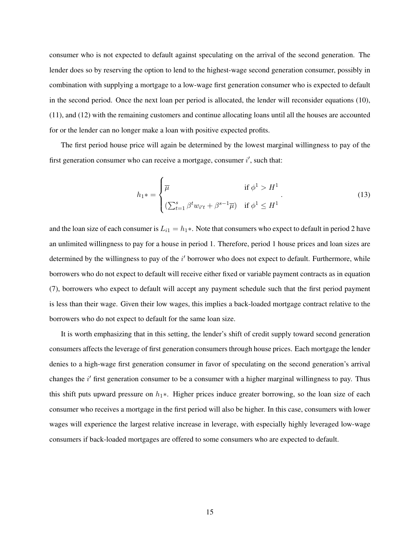consumer who is not expected to default against speculating on the arrival of the second generation. The lender does so by reserving the option to lend to the highest-wage second generation consumer, possibly in combination with supplying a mortgage to a low-wage first generation consumer who is expected to default in the second period. Once the next loan per period is allocated, the lender will reconsider equations (10), (11), and (12) with the remaining customers and continue allocating loans until all the houses are accounted for or the lender can no longer make a loan with positive expected profits.

The first period house price will again be determined by the lowest marginal willingness to pay of the first generation consumer who can receive a mortgage, consumer  $i'$ , such that:

$$
h_{1} * = \begin{cases} \overline{\mu} & \text{if } \phi^1 > H^1 \\ \left( \sum_{t=1}^s \beta^t w_{i't} + \beta^{s-1} \overline{\mu} \right) & \text{if } \phi^1 \le H^1 \end{cases} \tag{13}
$$

and the loan size of each consumer is  $L_{i1} = h_1 *$ . Note that consumers who expect to default in period 2 have an unlimited willingness to pay for a house in period 1. Therefore, period 1 house prices and loan sizes are determined by the willingness to pay of the i' borrower who does not expect to default. Furthermore, while borrowers who do not expect to default will receive either fixed or variable payment contracts as in equation (7), borrowers who expect to default will accept any payment schedule such that the first period payment is less than their wage. Given their low wages, this implies a back-loaded mortgage contract relative to the borrowers who do not expect to default for the same loan size.

It is worth emphasizing that in this setting, the lender's shift of credit supply toward second generation consumers affects the leverage of first generation consumers through house prices. Each mortgage the lender denies to a high-wage first generation consumer in favor of speculating on the second generation's arrival changes the  $i'$  first generation consumer to be a consumer with a higher marginal willingness to pay. Thus this shift puts upward pressure on  $h_1$ ∗. Higher prices induce greater borrowing, so the loan size of each consumer who receives a mortgage in the first period will also be higher. In this case, consumers with lower wages will experience the largest relative increase in leverage, with especially highly leveraged low-wage consumers if back-loaded mortgages are offered to some consumers who are expected to default.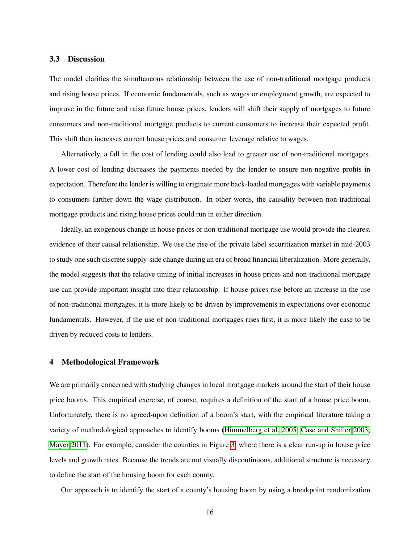#### 3.3 Discussion

The model clarifies the simultaneous relationship between the use of non-traditional mortgage products and rising house prices. If economic fundamentals, such as wages or employment growth, are expected to improve in the future and raise future house prices, lenders will shift their supply of mortgages to future consumers and non-traditional mortgage products to current consumers to increase their expected profit. This shift then increases current house prices and consumer leverage relative to wages.

Alternatively, a fall in the cost of lending could also lead to greater use of non-traditional mortgages. A lower cost of lending decreases the payments needed by the lender to ensure non-negative profits in expectation. Therefore the lender is willing to originate more back-loaded mortgages with variable payments to consumers farther down the wage distribution. In other words, the causality between non-traditional mortgage products and rising house prices could run in either direction.

Ideally, an exogenous change in house prices or non-traditional mortgage use would provide the clearest evidence of their causal relationship. We use the rise of the private label securitization market in mid-2003 to study one such discrete supply-side change during an era of broad financial liberalization. More generally, the model suggests that the relative timing of initial increases in house prices and non-traditional mortgage use can provide important insight into their relationship. If house prices rise before an increase in the use of non-traditional mortgages, it is more likely to be driven by improvements in expectations over economic fundamentals. However, if the use of non-traditional mortgages rises first, it is more likely the case to be driven by reduced costs to lenders.

#### 4 Methodological Framework

We are primarily concerned with studying changes in local mortgage markets around the start of their house price booms. This empirical exercise, of course, requires a definition of the start of a house price boom. Unfortunately, there is no agreed-upon definition of a boom's start, with the empirical literature taking a variety of methodological approaches to identify booms [\(Himmelberg et al. 2005;](#page-28-2) [Case and Shiller 2003;](#page-27-11) [Mayer 2011\)](#page-29-12). For example, consider the counties in Figure [3,](#page-32-0) where there is a clear run-up in house price levels and growth rates. Because the trends are not visually discontinuous, additional structure is necessary to define the start of the housing boom for each county.

Our approach is to identify the start of a county's housing boom by using a breakpoint randomization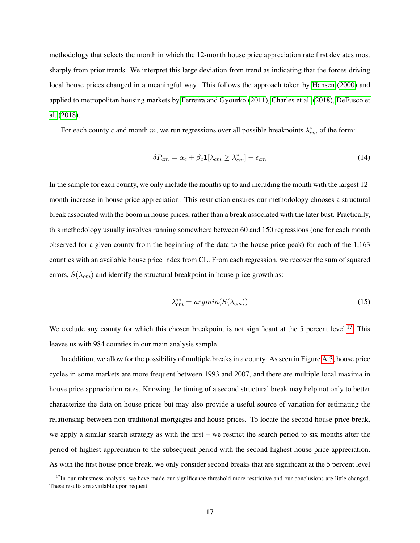methodology that selects the month in which the 12-month house price appreciation rate first deviates most sharply from prior trends. We interpret this large deviation from trend as indicating that the forces driving local house prices changed in a meaningful way. This follows the approach taken by [Hansen](#page-28-3) [\(2000\)](#page-28-3) and applied to metropolitan housing markets by [Ferreira and Gyourko](#page-28-1) [\(2011\)](#page-28-1), [Charles et al.](#page-27-2) [\(2018\)](#page-27-2), [DeFusco et](#page-27-3) [al.](#page-27-3) [\(2018\)](#page-27-3).

For each county c and month m, we run regressions over all possible breakpoints  $\lambda_{cm}^*$  of the form:

$$
\delta P_{cm} = \alpha_c + \beta_c \mathbf{1} [\lambda_{cm} \ge \lambda_{cm}^*] + \epsilon_{cm}
$$
\n(14)

In the sample for each county, we only include the months up to and including the month with the largest 12 month increase in house price appreciation. This restriction ensures our methodology chooses a structural break associated with the boom in house prices, rather than a break associated with the later bust. Practically, this methodology usually involves running somewhere between 60 and 150 regressions (one for each month observed for a given county from the beginning of the data to the house price peak) for each of the 1,163 counties with an available house price index from CL. From each regression, we recover the sum of squared errors,  $S(\lambda_{cm})$  and identify the structural breakpoint in house price growth as:

$$
\lambda_{cm}^{**} = argmin(S(\lambda_{cm})) \tag{15}
$$

We exclude any county for which this chosen breakpoint is not significant at the 5 percent level.<sup>[17](#page-17-0)</sup> This leaves us with 984 counties in our main analysis sample.

In addition, we allow for the possibility of multiple breaks in a county. As seen in Figure [A.3,](#page-49-0) house price cycles in some markets are more frequent between 1993 and 2007, and there are multiple local maxima in house price appreciation rates. Knowing the timing of a second structural break may help not only to better characterize the data on house prices but may also provide a useful source of variation for estimating the relationship between non-traditional mortgages and house prices. To locate the second house price break, we apply a similar search strategy as with the first – we restrict the search period to six months after the period of highest appreciation to the subsequent period with the second-highest house price appreciation. As with the first house price break, we only consider second breaks that are significant at the 5 percent level

<span id="page-17-0"></span> $17$ In our robustness analysis, we have made our significance threshold more restrictive and our conclusions are little changed. These results are available upon request.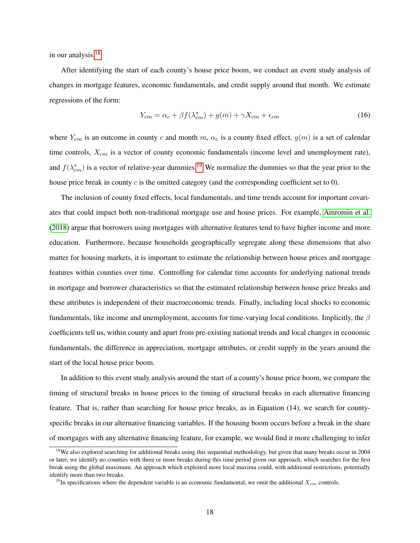in our analysis.[18](#page-18-0)

After identifying the start of each county's house price boom, we conduct an event study analysis of changes in mortgage features, economic fundamentals, and credit supply around that month. We estimate regressions of the form:

$$
Y_{cm} = \alpha_c + \beta f(\lambda_{cm}^*) + g(m) + \gamma X_{cm} + \epsilon_{cm}
$$
\n(16)

where  $Y_{cm}$  is an outcome in county c and month m,  $\alpha_c$  is a county fixed effect,  $g(m)$  is a set of calendar time controls,  $X_{cm}$  is a vector of county economic fundamentals (income level and unemployment rate), and  $f(\lambda_{cm}^*)$  is a vector of relative-year dummies.<sup>[19](#page-18-1)</sup> We normalize the dummies so that the year prior to the house price break in county  $c$  is the omitted category (and the corresponding coefficient set to 0).

The inclusion of county fixed effects, local fundamentals, and time trends account for important covariates that could impact both non-traditional mortgage use and house prices. For example, [Amromin et al.](#page-27-5) [\(2018\)](#page-27-5) argue that borrowers using mortgages with alternative features tend to have higher income and more education. Furthermore, because households geographically segregate along these dimensions that also matter for housing markets, it is important to estimate the relationship between house prices and mortgage features within counties over time. Controlling for calendar time accounts for underlying national trends in mortgage and borrower characteristics so that the estimated relationship between house price breaks and these attributes is independent of their macroeconomic trends. Finally, including local shocks to economic fundamentals, like income and unemployment, accounts for time-varying local conditions. Implicitly, the  $\beta$ coefficients tell us, within county and apart from pre-existing national trends and local changes in economic fundamentals, the difference in appreciation, mortgage attributes, or credit supply in the years around the start of the local house price boom.

In addition to this event study analysis around the start of a county's house price boom, we compare the timing of structural breaks in house prices to the timing of structural breaks in each alternative financing feature. That is, rather than searching for house price breaks, as in Equation (14), we search for countyspecific breaks in our alternative financing variables. If the housing boom occurs before a break in the share of mortgages with any alternative financing feature, for example, we would find it more challenging to infer

<span id="page-18-0"></span><sup>&</sup>lt;sup>18</sup>We also explored searching for additional breaks using this sequential methodology, but given that many breaks occur in 2004 or later, we identify no counties with three or more breaks during this time period given our approach, which searches for the first break using the global maximum. An approach which exploited more local maxima could, with additional restrictions, potentially identify more than two breaks.

<span id="page-18-1"></span><sup>&</sup>lt;sup>19</sup>In specifications where the dependent variable is an economic fundamental, we omit the additional  $X_{cm}$  controls.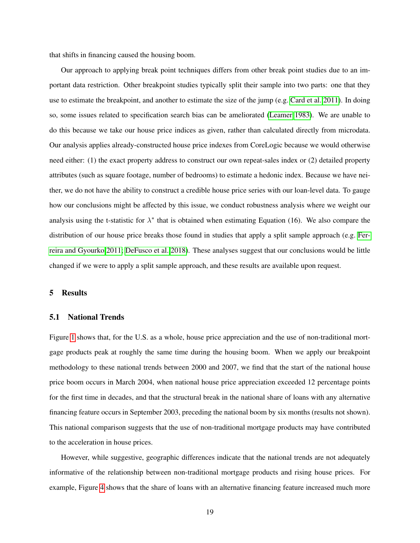that shifts in financing caused the housing boom.

Our approach to applying break point techniques differs from other break point studies due to an important data restriction. Other breakpoint studies typically split their sample into two parts: one that they use to estimate the breakpoint, and another to estimate the size of the jump (e.g. [Card et al. 2011\)](#page-27-12). In doing so, some issues related to specification search bias can be ameliorated [\(Leamer 1983\)](#page-29-13). We are unable to do this because we take our house price indices as given, rather than calculated directly from microdata. Our analysis applies already-constructed house price indexes from CoreLogic because we would otherwise need either: (1) the exact property address to construct our own repeat-sales index or (2) detailed property attributes (such as square footage, number of bedrooms) to estimate a hedonic index. Because we have neither, we do not have the ability to construct a credible house price series with our loan-level data. To gauge how our conclusions might be affected by this issue, we conduct robustness analysis where we weight our analysis using the t-statistic for  $\lambda^*$  that is obtained when estimating Equation (16). We also compare the distribution of our house price breaks those found in studies that apply a split sample approach (e.g. [Fer](#page-28-1)[reira and Gyourko 2011;](#page-28-1) [DeFusco et al. 2018\)](#page-27-3). These analyses suggest that our conclusions would be little changed if we were to apply a split sample approach, and these results are available upon request.

#### 5 Results

## 5.1 National Trends

Figure [1](#page-30-0) shows that, for the U.S. as a whole, house price appreciation and the use of non-traditional mortgage products peak at roughly the same time during the housing boom. When we apply our breakpoint methodology to these national trends between 2000 and 2007, we find that the start of the national house price boom occurs in March 2004, when national house price appreciation exceeded 12 percentage points for the first time in decades, and that the structural break in the national share of loans with any alternative financing feature occurs in September 2003, preceding the national boom by six months (results not shown). This national comparison suggests that the use of non-traditional mortgage products may have contributed to the acceleration in house prices.

However, while suggestive, geographic differences indicate that the national trends are not adequately informative of the relationship between non-traditional mortgage products and rising house prices. For example, Figure [4](#page-33-0) shows that the share of loans with an alternative financing feature increased much more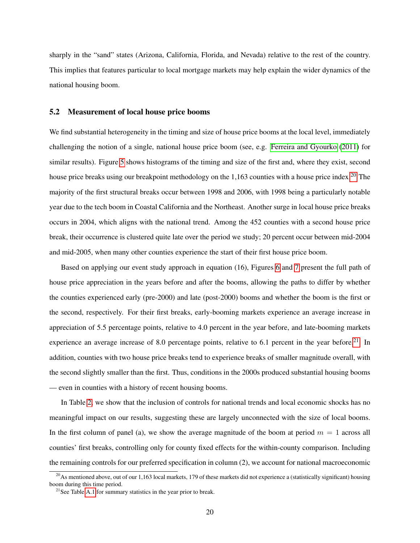sharply in the "sand" states (Arizona, California, Florida, and Nevada) relative to the rest of the country. This implies that features particular to local mortgage markets may help explain the wider dynamics of the national housing boom.

## 5.2 Measurement of local house price booms

We find substantial heterogeneity in the timing and size of house price booms at the local level, immediately challenging the notion of a single, national house price boom (see, e.g. [Ferreira and Gyourko](#page-28-1) [\(2011\)](#page-28-1) for similar results). Figure [5](#page-34-0) shows histograms of the timing and size of the first and, where they exist, second house price breaks using our breakpoint methodology on the 1,163 counties with a house price index.<sup>[20](#page-20-0)</sup> The majority of the first structural breaks occur between 1998 and 2006, with 1998 being a particularly notable year due to the tech boom in Coastal California and the Northeast. Another surge in local house price breaks occurs in 2004, which aligns with the national trend. Among the 452 counties with a second house price break, their occurrence is clustered quite late over the period we study; 20 percent occur between mid-2004 and mid-2005, when many other counties experience the start of their first house price boom.

Based on applying our event study approach in equation (16), Figures [6](#page-35-0) and [7](#page-36-0) present the full path of house price appreciation in the years before and after the booms, allowing the paths to differ by whether the counties experienced early (pre-2000) and late (post-2000) booms and whether the boom is the first or the second, respectively. For their first breaks, early-booming markets experience an average increase in appreciation of 5.5 percentage points, relative to 4.0 percent in the year before, and late-booming markets experience an average increase of 8.0 percentage points, relative to 6.1 percent in the year before.<sup>[21](#page-20-1)</sup> In addition, counties with two house price breaks tend to experience breaks of smaller magnitude overall, with the second slightly smaller than the first. Thus, conditions in the 2000s produced substantial housing booms — even in counties with a history of recent housing booms.

In Table [2,](#page-45-0) we show that the inclusion of controls for national trends and local economic shocks has no meaningful impact on our results, suggesting these are largely unconnected with the size of local booms. In the first column of panel (a), we show the average magnitude of the boom at period  $m = 1$  across all counties' first breaks, controlling only for county fixed effects for the within-county comparison. Including the remaining controls for our preferred specification in column (2), we account for national macroeconomic

<span id="page-20-0"></span> $^{20}$ As mentioned above, out of our 1,163 local markets, 179 of these markets did not experience a (statistically significant) housing boom during this time period.

<span id="page-20-1"></span> $21$ See Table [A.1](#page-52-0) for summary statistics in the year prior to break.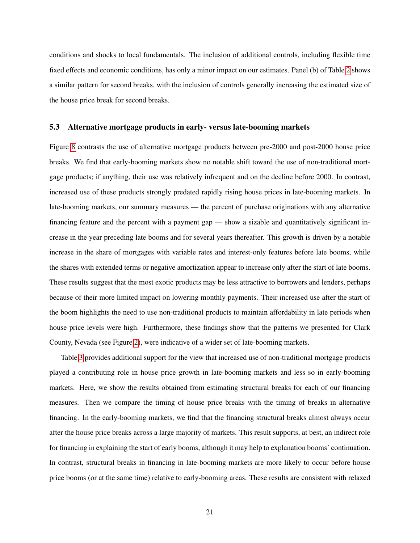conditions and shocks to local fundamentals. The inclusion of additional controls, including flexible time fixed effects and economic conditions, has only a minor impact on our estimates. Panel (b) of Table [2](#page-45-0) shows a similar pattern for second breaks, with the inclusion of controls generally increasing the estimated size of the house price break for second breaks.

#### 5.3 Alternative mortgage products in early- versus late-booming markets

Figure [8](#page-37-0) contrasts the use of alternative mortgage products between pre-2000 and post-2000 house price breaks. We find that early-booming markets show no notable shift toward the use of non-traditional mortgage products; if anything, their use was relatively infrequent and on the decline before 2000. In contrast, increased use of these products strongly predated rapidly rising house prices in late-booming markets. In late-booming markets, our summary measures — the percent of purchase originations with any alternative financing feature and the percent with a payment gap — show a sizable and quantitatively significant increase in the year preceding late booms and for several years thereafter. This growth is driven by a notable increase in the share of mortgages with variable rates and interest-only features before late booms, while the shares with extended terms or negative amortization appear to increase only after the start of late booms. These results suggest that the most exotic products may be less attractive to borrowers and lenders, perhaps because of their more limited impact on lowering monthly payments. Their increased use after the start of the boom highlights the need to use non-traditional products to maintain affordability in late periods when house price levels were high. Furthermore, these findings show that the patterns we presented for Clark County, Nevada (see Figure [2\)](#page-31-0), were indicative of a wider set of late-booming markets.

Table [3](#page-46-0) provides additional support for the view that increased use of non-traditional mortgage products played a contributing role in house price growth in late-booming markets and less so in early-booming markets. Here, we show the results obtained from estimating structural breaks for each of our financing measures. Then we compare the timing of house price breaks with the timing of breaks in alternative financing. In the early-booming markets, we find that the financing structural breaks almost always occur after the house price breaks across a large majority of markets. This result supports, at best, an indirect role for financing in explaining the start of early booms, although it may help to explanation booms' continuation. In contrast, structural breaks in financing in late-booming markets are more likely to occur before house price booms (or at the same time) relative to early-booming areas. These results are consistent with relaxed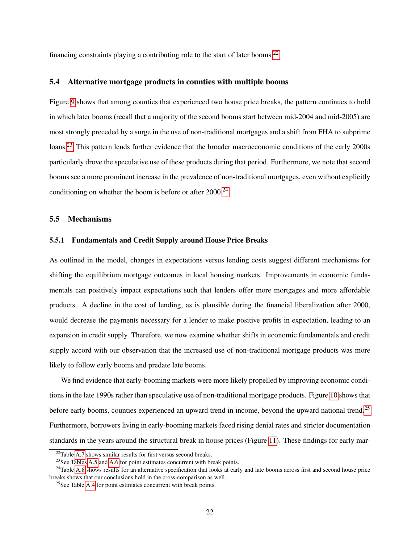financing constraints playing a contributing role to the start of later booms.[22](#page-22-0)

#### 5.4 Alternative mortgage products in counties with multiple booms

Figure [9](#page-38-0) shows that among counties that experienced two house price breaks, the pattern continues to hold in which later booms (recall that a majority of the second booms start between mid-2004 and mid-2005) are most strongly preceded by a surge in the use of non-traditional mortgages and a shift from FHA to subprime loans.<sup>[23](#page-22-1)</sup> This pattern lends further evidence that the broader macroeconomic conditions of the early 2000s particularly drove the speculative use of these products during that period. Furthermore, we note that second booms see a more prominent increase in the prevalence of non-traditional mortgages, even without explicitly conditioning on whether the boom is before or after  $2000<sup>24</sup>$  $2000<sup>24</sup>$  $2000<sup>24</sup>$ 

## 5.5 Mechanisms

## 5.5.1 Fundamentals and Credit Supply around House Price Breaks

As outlined in the model, changes in expectations versus lending costs suggest different mechanisms for shifting the equilibrium mortgage outcomes in local housing markets. Improvements in economic fundamentals can positively impact expectations such that lenders offer more mortgages and more affordable products. A decline in the cost of lending, as is plausible during the financial liberalization after 2000, would decrease the payments necessary for a lender to make positive profits in expectation, leading to an expansion in credit supply. Therefore, we now examine whether shifts in economic fundamentals and credit supply accord with our observation that the increased use of non-traditional mortgage products was more likely to follow early booms and predate late booms.

We find evidence that early-booming markets were more likely propelled by improving economic conditions in the late 1990s rather than speculative use of non-traditional mortgage products. Figure [10](#page-39-0) shows that before early booms, counties experienced an upward trend in income, beyond the upward national trend.<sup>[25](#page-22-3)</sup> Furthermore, borrowers living in early-booming markets faced rising denial rates and stricter documentation standards in the years around the structural break in house prices (Figure [11\)](#page-40-0). These findings for early mar-

<span id="page-22-0"></span><sup>&</sup>lt;sup>22</sup>Table [A.7](#page-58-0) shows similar results for first versus second breaks.

<span id="page-22-2"></span><span id="page-22-1"></span><sup>&</sup>lt;sup>23</sup>See Tables [A.5](#page-56-0) and [A.6](#page-57-0) for point estimates concurrent with break points.

 $24$ Table [A.8](#page-59-0) shows results for an alternative specification that looks at early and late booms across first and second house price breaks shows that our conclusions hold in the cross-comparison as well.

<span id="page-22-3"></span><sup>&</sup>lt;sup>25</sup>See Table [A.4](#page-55-0) for point estimates concurrent with break points.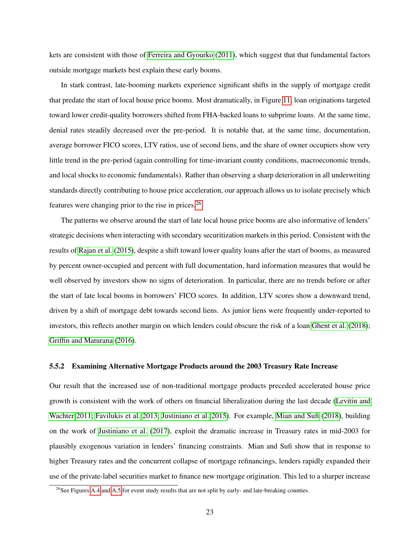kets are consistent with those of [Ferreira and Gyourko](#page-28-1) [\(2011\)](#page-28-1), which suggest that that fundamental factors outside mortgage markets best explain these early booms.

In stark contrast, late-booming markets experience significant shifts in the supply of mortgage credit that predate the start of local house price booms. Most dramatically, in Figure [11,](#page-40-0) loan originations targeted toward lower credit-quality borrowers shifted from FHA-backed loans to subprime loans. At the same time, denial rates steadily decreased over the pre-period. It is notable that, at the same time, documentation, average borrower FICO scores, LTV ratios, use of second liens, and the share of owner occupiers show very little trend in the pre-period (again controlling for time-invariant county conditions, macroeconomic trends, and local shocks to economic fundamentals). Rather than observing a sharp deterioration in all underwriting standards directly contributing to house price acceleration, our approach allows us to isolate precisely which features were changing prior to the rise in prices.[26](#page-23-0)

The patterns we observe around the start of late local house price booms are also informative of lenders' strategic decisions when interacting with secondary securitization markets in this period. Consistent with the results of [Rajan et al.](#page-29-4) [\(2015\)](#page-29-4), despite a shift toward lower quality loans after the start of booms, as measured by percent owner-occupied and percent with full documentation, hard information measures that would be well observed by investors show no signs of deterioration. In particular, there are no trends before or after the start of late local booms in borrowers' FICO scores. In addition, LTV scores show a downward trend, driven by a shift of mortgage debt towards second liens. As junior liens were frequently under-reported to investors, this reflects another margin on which lenders could obscure the risk of a loan [Ghent et al.](#page-28-12) [\(2018\)](#page-28-12); [Griffin and Maturana](#page-28-13) [\(2016\)](#page-28-13).

## 5.5.2 Examining Alternative Mortgage Products around the 2003 Treasury Rate Increase

Our result that the increased use of non-traditional mortgage products preceded accelerated house price growth is consistent with the work of others on financial liberalization during the last decade [\(Levitin and](#page-29-14) [Wachter 2011;](#page-29-14) [Favilukis et al. 2013;](#page-28-5) [Justiniano et al. 2015\)](#page-28-6). For example, [Mian and Sufi](#page-29-6) [\(2018\)](#page-29-6), building on the work of [Justiniano et al.](#page-28-8) [\(2017\)](#page-28-8), exploit the dramatic increase in Treasury rates in mid-2003 for plausibly exogenous variation in lenders' financing constraints. Mian and Sufi show that in response to higher Treasury rates and the concurrent collapse of mortgage refinancings, lenders rapidly expanded their use of the private-label securities market to finance new mortgage origination. This led to a sharper increase

<span id="page-23-0"></span><sup>&</sup>lt;sup>26</sup>See Figures [A.4](#page-50-0) and [A.5](#page-51-0) for event study results that are not split by early- and late-breaking counties.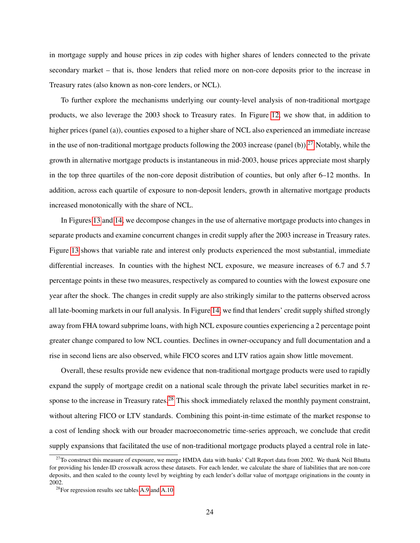in mortgage supply and house prices in zip codes with higher shares of lenders connected to the private secondary market – that is, those lenders that relied more on non-core deposits prior to the increase in Treasury rates (also known as non-core lenders, or NCL).

To further explore the mechanisms underlying our county-level analysis of non-traditional mortgage products, we also leverage the 2003 shock to Treasury rates. In Figure [12,](#page-41-0) we show that, in addition to higher prices (panel (a)), counties exposed to a higher share of NCL also experienced an immediate increase in the use of non-traditional mortgage products following the 2003 increase (panel (b)).<sup>[27](#page-24-0)</sup> Notably, while the growth in alternative mortgage products is instantaneous in mid-2003, house prices appreciate most sharply in the top three quartiles of the non-core deposit distribution of counties, but only after 6–12 months. In addition, across each quartile of exposure to non-deposit lenders, growth in alternative mortgage products increased monotonically with the share of NCL.

In Figures [13](#page-42-0) and [14,](#page-43-0) we decompose changes in the use of alternative mortgage products into changes in separate products and examine concurrent changes in credit supply after the 2003 increase in Treasury rates. Figure [13](#page-42-0) shows that variable rate and interest only products experienced the most substantial, immediate differential increases. In counties with the highest NCL exposure, we measure increases of 6.7 and 5.7 percentage points in these two measures, respectively as compared to counties with the lowest exposure one year after the shock. The changes in credit supply are also strikingly similar to the patterns observed across all late-booming markets in our full analysis. In Figure [14,](#page-43-0) we find that lenders' credit supply shifted strongly away from FHA toward subprime loans, with high NCL exposure counties experiencing a 2 percentage point greater change compared to low NCL counties. Declines in owner-occupancy and full documentation and a rise in second liens are also observed, while FICO scores and LTV ratios again show little movement.

Overall, these results provide new evidence that non-traditional mortgage products were used to rapidly expand the supply of mortgage credit on a national scale through the private label securities market in re-sponse to the increase in Treasury rates.<sup>[28](#page-24-1)</sup> This shock immediately relaxed the monthly payment constraint, without altering FICO or LTV standards. Combining this point-in-time estimate of the market response to a cost of lending shock with our broader macroeconometric time-series approach, we conclude that credit supply expansions that facilitated the use of non-traditional mortgage products played a central role in late-

<span id="page-24-0"></span> $27$ To construct this measure of exposure, we merge HMDA data with banks' Call Report data from 2002. We thank Neil Bhutta for providing his lender-ID crosswalk across these datasets. For each lender, we calculate the share of liabilities that are non-core deposits, and then scaled to the county level by weighting by each lender's dollar value of mortgage originations in the county in 2002.

<span id="page-24-1"></span> $^{28}$ For regression results see tables [A.9](#page-60-0) and [A.10.](#page-61-0)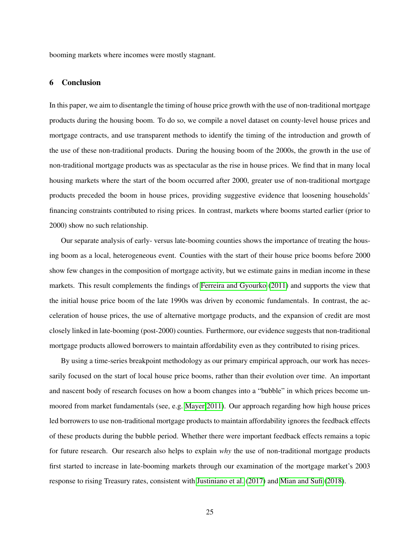booming markets where incomes were mostly stagnant.

## 6 Conclusion

In this paper, we aim to disentangle the timing of house price growth with the use of non-traditional mortgage products during the housing boom. To do so, we compile a novel dataset on county-level house prices and mortgage contracts, and use transparent methods to identify the timing of the introduction and growth of the use of these non-traditional products. During the housing boom of the 2000s, the growth in the use of non-traditional mortgage products was as spectacular as the rise in house prices. We find that in many local housing markets where the start of the boom occurred after 2000, greater use of non-traditional mortgage products preceded the boom in house prices, providing suggestive evidence that loosening households' financing constraints contributed to rising prices. In contrast, markets where booms started earlier (prior to 2000) show no such relationship.

Our separate analysis of early- versus late-booming counties shows the importance of treating the housing boom as a local, heterogeneous event. Counties with the start of their house price booms before 2000 show few changes in the composition of mortgage activity, but we estimate gains in median income in these markets. This result complements the findings of [Ferreira and Gyourko](#page-28-1) [\(2011\)](#page-28-1) and supports the view that the initial house price boom of the late 1990s was driven by economic fundamentals. In contrast, the acceleration of house prices, the use of alternative mortgage products, and the expansion of credit are most closely linked in late-booming (post-2000) counties. Furthermore, our evidence suggests that non-traditional mortgage products allowed borrowers to maintain affordability even as they contributed to rising prices.

By using a time-series breakpoint methodology as our primary empirical approach, our work has necessarily focused on the start of local house price booms, rather than their evolution over time. An important and nascent body of research focuses on how a boom changes into a "bubble" in which prices become unmoored from market fundamentals (see, e.g. [Mayer 2011\)](#page-29-12). Our approach regarding how high house prices led borrowers to use non-traditional mortgage products to maintain affordability ignores the feedback effects of these products during the bubble period. Whether there were important feedback effects remains a topic for future research. Our research also helps to explain *why* the use of non-traditional mortgage products first started to increase in late-booming markets through our examination of the mortgage market's 2003 response to rising Treasury rates, consistent with [Justiniano et al.](#page-28-8) [\(2017\)](#page-28-8) and [Mian and Sufi](#page-29-6) [\(2018\)](#page-29-6).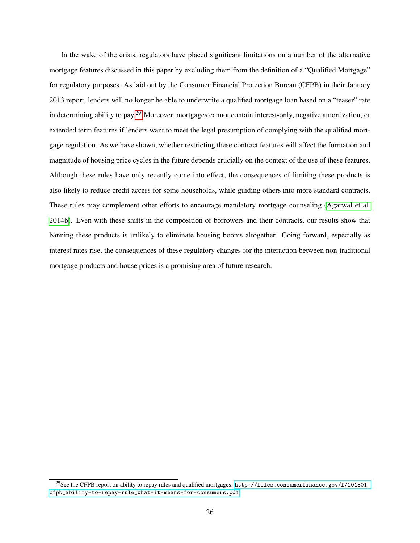In the wake of the crisis, regulators have placed significant limitations on a number of the alternative mortgage features discussed in this paper by excluding them from the definition of a "Qualified Mortgage" for regulatory purposes. As laid out by the Consumer Financial Protection Bureau (CFPB) in their January 2013 report, lenders will no longer be able to underwrite a qualified mortgage loan based on a "teaser" rate in determining ability to pay.[29](#page-26-0) Moreover, mortgages cannot contain interest-only, negative amortization, or extended term features if lenders want to meet the legal presumption of complying with the qualified mortgage regulation. As we have shown, whether restricting these contract features will affect the formation and magnitude of housing price cycles in the future depends crucially on the context of the use of these features. Although these rules have only recently come into effect, the consequences of limiting these products is also likely to reduce credit access for some households, while guiding others into more standard contracts. These rules may complement other efforts to encourage mandatory mortgage counseling [\(Agarwal et al.](#page-27-13) [2014b\)](#page-27-13). Even with these shifts in the composition of borrowers and their contracts, our results show that banning these products is unlikely to eliminate housing booms altogether. Going forward, especially as interest rates rise, the consequences of these regulatory changes for the interaction between non-traditional mortgage products and house prices is a promising area of future research.

<span id="page-26-0"></span><sup>&</sup>lt;sup>29</sup>See the CFPB report on ability to repay rules and qualified mortgages: [http://files.consumerfinance.gov/f/201301\\_](http://files.consumerfinance.gov/f/201301_cfpb_ability-to-repay-rule_what-it-means-for-consumers.pdf) [cfpb\\_ability-to-repay-rule\\_what-it-means-for-consumers.pdf](http://files.consumerfinance.gov/f/201301_cfpb_ability-to-repay-rule_what-it-means-for-consumers.pdf)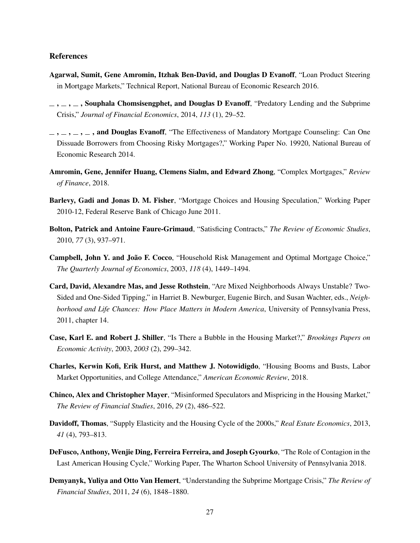## References

- <span id="page-27-1"></span>Agarwal, Sumit, Gene Amromin, Itzhak Ben-David, and Douglas D Evanoff, "Loan Product Steering in Mortgage Markets," Technical Report, National Bureau of Economic Research 2016.
- <span id="page-27-0"></span> $-$ ,  $-$ ,  $-$ , Souphala Chomsisengphet, and Douglas D Evanoff, "Predatory Lending and the Subprime Crisis," *Journal of Financial Economics*, 2014, *113* (1), 29–52.
- <span id="page-27-13"></span> $, \ldots, \ldots, \ldots$ , and Douglas Evanoff, "The Effectiveness of Mandatory Mortgage Counseling: Can One Dissuade Borrowers from Choosing Risky Mortgages?," Working Paper No. 19920, National Bureau of Economic Research 2014.
- <span id="page-27-5"></span>Amromin, Gene, Jennifer Huang, Clemens Sialm, and Edward Zhong, "Complex Mortgages," *Review of Finance*, 2018.
- <span id="page-27-6"></span>Barlevy, Gadi and Jonas D. M. Fisher, "Mortgage Choices and Housing Speculation," Working Paper 2010-12, Federal Reserve Bank of Chicago June 2011.
- <span id="page-27-10"></span>Bolton, Patrick and Antoine Faure-Grimaud, "Satisficing Contracts," *The Review of Economic Studies*, 2010, *77* (3), 937–971.
- <span id="page-27-4"></span>Campbell, John Y. and João F. Cocco, "Household Risk Management and Optimal Mortgage Choice," *The Quarterly Journal of Economics*, 2003, *118* (4), 1449–1494.
- <span id="page-27-12"></span>Card, David, Alexandre Mas, and Jesse Rothstein, "Are Mixed Neighborhoods Always Unstable? Two-Sided and One-Sided Tipping," in Harriet B. Newburger, Eugenie Birch, and Susan Wachter, eds., *Neighborhood and Life Chances: How Place Matters in Modern America*, University of Pennsylvania Press, 2011, chapter 14.
- <span id="page-27-11"></span>Case, Karl E. and Robert J. Shiller, "Is There a Bubble in the Housing Market?," *Brookings Papers on Economic Activity*, 2003, *2003* (2), 299–342.
- <span id="page-27-2"></span>Charles, Kerwin Kofi, Erik Hurst, and Matthew J. Notowidigdo, "Housing Booms and Busts, Labor Market Opportunities, and College Attendance," *American Economic Review*, 2018.
- <span id="page-27-8"></span>Chinco, Alex and Christopher Mayer, "Misinformed Speculators and Mispricing in the Housing Market," *The Review of Financial Studies*, 2016, *29* (2), 486–522.
- <span id="page-27-7"></span>Davidoff, Thomas, "Supply Elasticity and the Housing Cycle of the 2000s," *Real Estate Economics*, 2013, *41* (4), 793–813.
- <span id="page-27-3"></span>DeFusco, Anthony, Wenjie Ding, Ferreira Ferreira, and Joseph Gyourko, "The Role of Contagion in the Last American Housing Cycle," Working Paper, The Wharton School University of Pennsylvania 2018.
- <span id="page-27-9"></span>Demyanyk, Yuliya and Otto Van Hemert, "Understanding the Subprime Mortgage Crisis," *The Review of Financial Studies*, 2011, *24* (6), 1848–1880.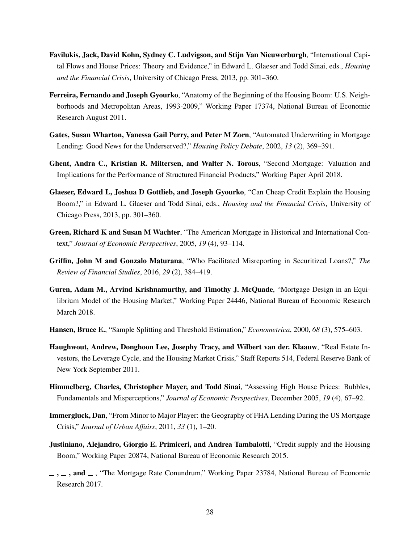- <span id="page-28-5"></span>Favilukis, Jack, David Kohn, Sydney C. Ludvigson, and Stijn Van Nieuwerburgh, "International Capital Flows and House Prices: Theory and Evidence," in Edward L. Glaeser and Todd Sinai, eds., *Housing and the Financial Crisis*, University of Chicago Press, 2013, pp. 301–360.
- <span id="page-28-1"></span>Ferreira, Fernando and Joseph Gyourko, "Anatomy of the Beginning of the Housing Boom: U.S. Neighborhoods and Metropolitan Areas, 1993-2009," Working Paper 17374, National Bureau of Economic Research August 2011.
- <span id="page-28-9"></span>Gates, Susan Wharton, Vanessa Gail Perry, and Peter M Zorn, "Automated Underwriting in Mortgage Lending: Good News for the Underserved?," *Housing Policy Debate*, 2002, *13* (2), 369–391.
- <span id="page-28-12"></span>Ghent, Andra C., Kristian R. Miltersen, and Walter N. Torous, "Second Mortgage: Valuation and Implications for the Performance of Structured Financial Products," Working Paper April 2018.
- <span id="page-28-7"></span>Glaeser, Edward L, Joshua D Gottlieb, and Joseph Gyourko, "Can Cheap Credit Explain the Housing Boom?," in Edward L. Glaeser and Todd Sinai, eds., *Housing and the Financial Crisis*, University of Chicago Press, 2013, pp. 301–360.
- <span id="page-28-0"></span>Green, Richard K and Susan M Wachter, "The American Mortgage in Historical and International Context," *Journal of Economic Perspectives*, 2005, *19* (4), 93–114.
- <span id="page-28-13"></span>Griffin, John M and Gonzalo Maturana, "Who Facilitated Misreporting in Securitized Loans?," *The Review of Financial Studies*, 2016, *29* (2), 384–419.
- <span id="page-28-11"></span>Guren, Adam M., Arvind Krishnamurthy, and Timothy J. McQuade, "Mortgage Design in an Equilibrium Model of the Housing Market," Working Paper 24446, National Bureau of Economic Research March 2018.
- <span id="page-28-3"></span>Hansen, Bruce E., "Sample Splitting and Threshold Estimation," *Econometrica*, 2000, *68* (3), 575–603.
- <span id="page-28-4"></span>Haughwout, Andrew, Donghoon Lee, Josephy Tracy, and Wilbert van der. Klaauw, "Real Estate Investors, the Leverage Cycle, and the Housing Market Crisis," Staff Reports 514, Federal Reserve Bank of New York September 2011.
- <span id="page-28-2"></span>Himmelberg, Charles, Christopher Mayer, and Todd Sinai, "Assessing High House Prices: Bubbles, Fundamentals and Misperceptions," *Journal of Economic Perspectives*, December 2005, *19* (4), 67–92.
- <span id="page-28-10"></span>Immergluck, Dan, "From Minor to Major Player: the Geography of FHA Lending During the US Mortgage Crisis," *Journal of Urban Affairs*, 2011, *33* (1), 1–20.
- <span id="page-28-6"></span>Justiniano, Alejandro, Giorgio E. Primiceri, and Andrea Tambalotti, "Credit supply and the Housing Boom," Working Paper 20874, National Bureau of Economic Research 2015.
- <span id="page-28-8"></span> $\ldots$ , and  $\ldots$ , "The Mortgage Rate Conundrum," Working Paper 23784, National Bureau of Economic Research 2017.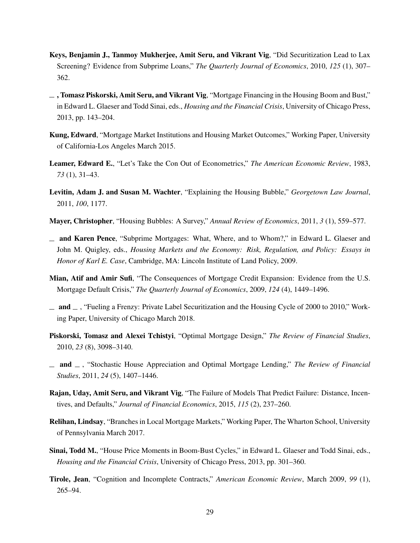- <span id="page-29-3"></span>Keys, Benjamin J., Tanmoy Mukherjee, Amit Seru, and Vikrant Vig, "Did Securitization Lead to Lax Screening? Evidence from Subprime Loans," *The Quarterly Journal of Economics*, 2010, *125* (1), 307– 362.
- <span id="page-29-7"></span> $\overline{\phantom{a}}$ , Tomasz Piskorski, Amit Seru, and Vikrant Vig, "Mortgage Financing in the Housing Boom and Bust," in Edward L. Glaeser and Todd Sinai, eds., *Housing and the Financial Crisis*, University of Chicago Press, 2013, pp. 143–204.
- <span id="page-29-11"></span>Kung, Edward, "Mortgage Market Institutions and Housing Market Outcomes," Working Paper, University of California-Los Angeles March 2015.
- <span id="page-29-13"></span>Leamer, Edward E., "Let's Take the Con Out of Econometrics," *The American Economic Review*, 1983, *73* (1), 31–43.
- <span id="page-29-14"></span>Levitin, Adam J. and Susan M. Wachter, "Explaining the Housing Bubble," *Georgetown Law Journal*, 2011, *100*, 1177.
- <span id="page-29-12"></span>Mayer, Christopher, "Housing Bubbles: A Survey," *Annual Review of Economics*, 2011, *3* (1), 559–577.
- <span id="page-29-10"></span> $\Box$  and Karen Pence, "Subprime Mortgages: What, Where, and to Whom?," in Edward L. Glaeser and John M. Quigley, eds., *Housing Markets and the Economy: Risk, Regulation, and Policy: Essays in Honor of Karl E. Case*, Cambridge, MA: Lincoln Institute of Land Policy, 2009.
- <span id="page-29-0"></span>Mian, Atif and Amir Sufi, "The Consequences of Mortgage Credit Expansion: Evidence from the U.S. Mortgage Default Crisis," *The Quarterly Journal of Economics*, 2009, *124* (4), 1449–1496.
- <span id="page-29-6"></span> $\mu$  and  $\mu$ , "Fueling a Frenzy: Private Label Securitization and the Housing Cycle of 2000 to 2010," Working Paper, University of Chicago March 2018.
- <span id="page-29-1"></span>Piskorski, Tomasz and Alexei Tchistyi, "Optimal Mortgage Design," *The Review of Financial Studies*, 2010, *23* (8), 3098–3140.
- <span id="page-29-2"></span>and , "Stochastic House Appreciation and Optimal Mortgage Lending," *The Review of Financial Studies*, 2011, *24* (5), 1407–1446.
- <span id="page-29-4"></span>Rajan, Uday, Amit Seru, and Vikrant Vig, "The Failure of Models That Predict Failure: Distance, Incentives, and Defaults," *Journal of Financial Economics*, 2015, *115* (2), 237–260.
- <span id="page-29-9"></span>Relihan, Lindsay, "Branches in Local Mortgage Markets," Working Paper, The Wharton School, University of Pennsylvania March 2017.
- <span id="page-29-5"></span>Sinai, Todd M., "House Price Moments in Boom-Bust Cycles," in Edward L. Glaeser and Todd Sinai, eds., *Housing and the Financial Crisis*, University of Chicago Press, 2013, pp. 301–360.
- <span id="page-29-8"></span>Tirole, Jean, "Cognition and Incomplete Contracts," *American Economic Review*, March 2009, *99* (1), 265–94.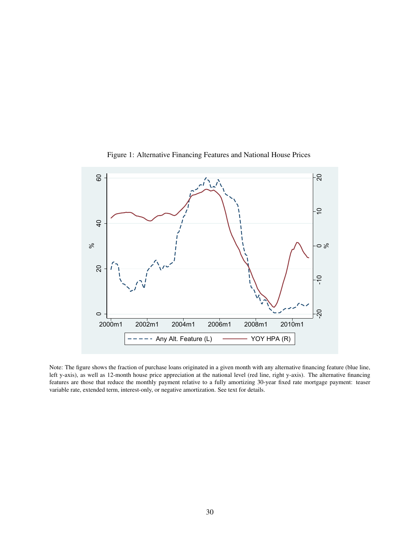<span id="page-30-0"></span>

Figure 1: Alternative Financing Features and National House Prices

Note: The figure shows the fraction of purchase loans originated in a given month with any alternative financing feature (blue line, left y-axis), as well as 12-month house price appreciation at the national level (red line, right y-axis). The alternative financing features are those that reduce the monthly payment relative to a fully amortizing 30-year fixed rate mortgage payment: teaser variable rate, extended term, interest-only, or negative amortization. See text for details.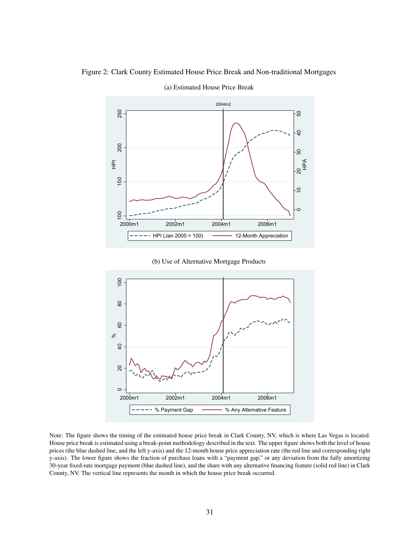

<span id="page-31-0"></span>Figure 2: Clark County Estimated House Price Break and Non-traditional Mortgages

(a) Estimated House Price Break

(b) Use of Alternative Mortgage Products



Note: The figure shows the timing of the estimated house price break in Clark County, NV, which is where Las Vegas is located. House price break is estimated using a break-point methodology described in the text. The upper figure shows both the level of house prices (the blue dashed line, and the left y-axis) and the 12-month house price appreciation rate (the red line and corresponding right y-axis). The lower figure shows the fraction of purchase loans with a "payment gap," or any deviation from the fully amortizing 30-year fixed-rate mortgage payment (blue dashed line), and the share with any alternative financing feature (solid red line) in Clark County, NV. The vertical line represents the month in which the house price break occurred.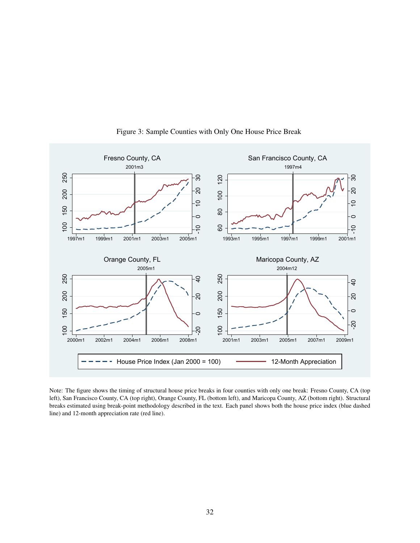<span id="page-32-0"></span>

Figure 3: Sample Counties with Only One House Price Break

Note: The figure shows the timing of structural house price breaks in four counties with only one break: Fresno County, CA (top left), San Francisco County, CA (top right), Orange County, FL (bottom left), and Maricopa County, AZ (bottom right). Structural breaks estimated using break-point methodology described in the text. Each panel shows both the house price index (blue dashed line) and 12-month appreciation rate (red line).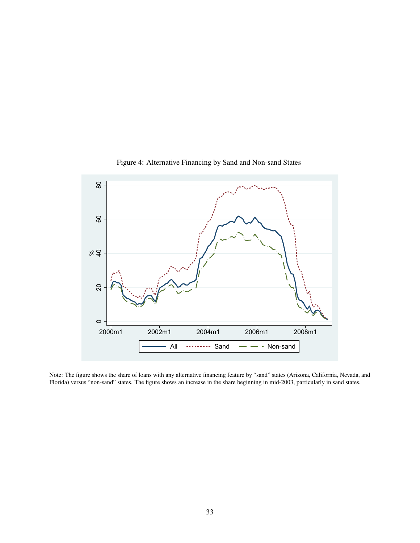<span id="page-33-0"></span>

Figure 4: Alternative Financing by Sand and Non-sand States

Note: The figure shows the share of loans with any alternative financing feature by "sand" states (Arizona, California, Nevada, and Florida) versus "non-sand" states. The figure shows an increase in the share beginning in mid-2003, particularly in sand states.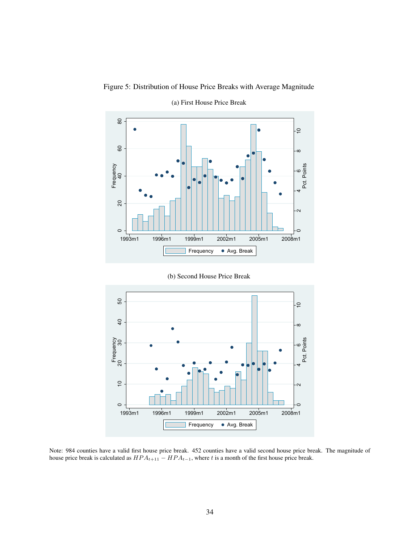<span id="page-34-0"></span>



(a) First House Price Break

(b) Second House Price Break



Note: 984 counties have a valid first house price break. 452 counties have a valid second house price break. The magnitude of house price break is calculated as  $HPA_{t+11} - HPA_{t-1}$ , where t is a month of the first house price break.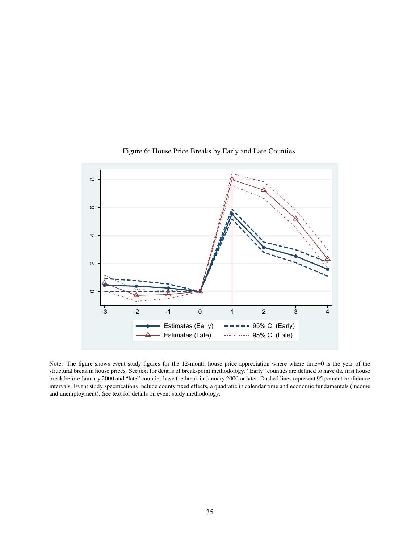<span id="page-35-0"></span>

Figure 6: House Price Breaks by Early and Late Counties

Note: The figure shows event study figures for the 12-month house price appreciation where where time=0 is the year of the structural break in house prices. See text for details of break-point methodology. "Early" counties are defined to have the first house break before January 2000 and "late" counties have the break in January 2000 or later. Dashed lines represent 95 percent confidence intervals. Event study specifications include county fixed effects, a quadratic in calendar time and economic fundamentals (income and unemployment). See text for details on event study methodology.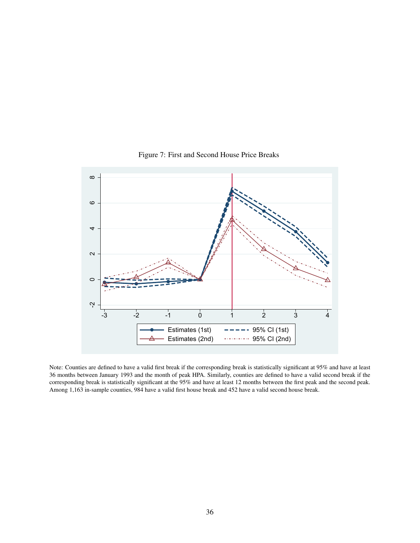<span id="page-36-0"></span>

Figure 7: First and Second House Price Breaks

Note: Counties are defined to have a valid first break if the corresponding break is statistically significant at 95% and have at least 36 months between January 1993 and the month of peak HPA. Similarly, counties are defined to have a valid second break if the corresponding break is statistically significant at the 95% and have at least 12 months between the first peak and the second peak. Among 1,163 in-sample counties, 984 have a valid first house break and 452 have a valid second house break.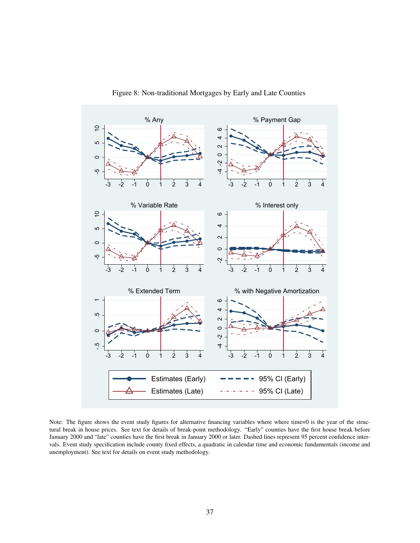<span id="page-37-0"></span>

Figure 8: Non-traditional Mortgages by Early and Late Counties

Note: The figure shows the event study figures for alternative financing variables where where time=0 is the year of the structural break in house prices. See text for details of break-point methodology. "Early" counties have the first house break before January 2000 and "late" counties have the first break in January 2000 or later. Dashed lines represent 95 percent confidence intervals. Event study specification include county fixed effects, a quadratic in calendar time and economic fundamentals (income and unemployment). See text for details on event study methodology.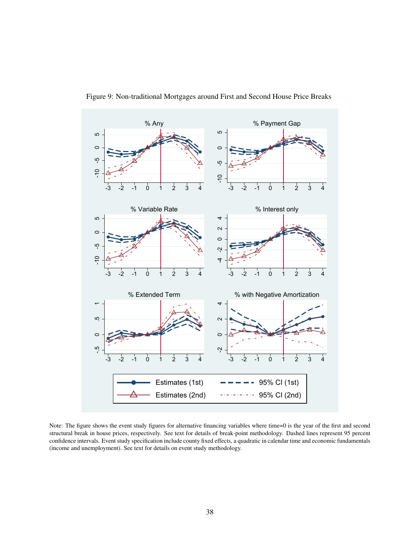<span id="page-38-0"></span>

Figure 9: Non-traditional Mortgages around First and Second House Price Breaks

Note: The figure shows the event study figures for alternative financing variables where time=0 is the year of the first and second structural break in house prices, respectively. See text for details of break-point methodology. Dashed lines represent 95 percent confidence intervals. Event study specification include county fixed effects, a quadratic in calendar time and economic fundamentals (income and unemployment). See text for details on event study methodology.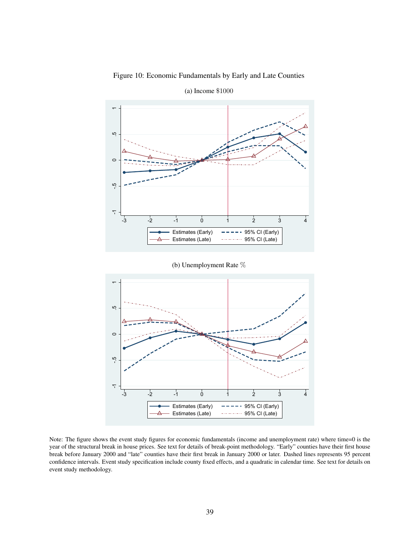<span id="page-39-0"></span>

Figure 10: Economic Fundamentals by Early and Late Counties

(b) Unemployment Rate %



Note: The figure shows the event study figures for economic fundamentals (income and unemployment rate) where time=0 is the year of the structural break in house prices. See text for details of break-point methodology. "Early" counties have their first house break before January 2000 and "late" counties have their first break in January 2000 or later. Dashed lines represents 95 percent confidence intervals. Event study specification include county fixed effects, and a quadratic in calendar time. See text for details on event study methodology.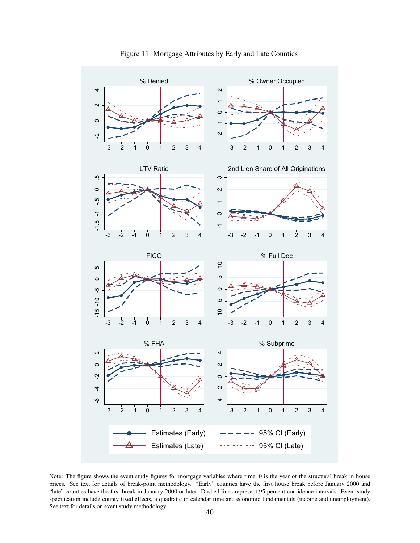<span id="page-40-0"></span>

Figure 11: Mortgage Attributes by Early and Late Counties

Note: The figure shows the event study figures for mortgage variables where time=0 is the year of the structural break in house prices. See text for details of break-point methodology. "Early" counties have the first house break before January 2000 and "late" counties have the first break in January 2000 or later. Dashed lines represent 95 percent confidence intervals. Event study specification include county fixed effects, a quadratic in calendar time and economic fundamentals (income and unemployment). See text for details on event study methodology.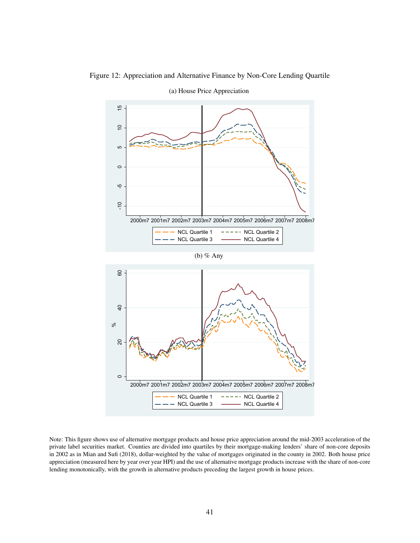

<span id="page-41-0"></span>Figure 12: Appreciation and Alternative Finance by Non-Core Lending Quartile

(a) House Price Appreciation

Note: This figure shows use of alternative mortgage products and house price appreciation around the mid-2003 acceleration of the private label securities market. Counties are divided into quartiles by their mortgage-making lenders' share of non-core deposits in 2002 as in Mian and Sufi (2018), dollar-weighted by the value of mortgages originated in the county in 2002. Both house price appreciation (measured here by year over year HPI) and the use of alternative mortgage products increase with the share of non-core lending monotonically, with the growth in alternative products preceding the largest growth in house prices.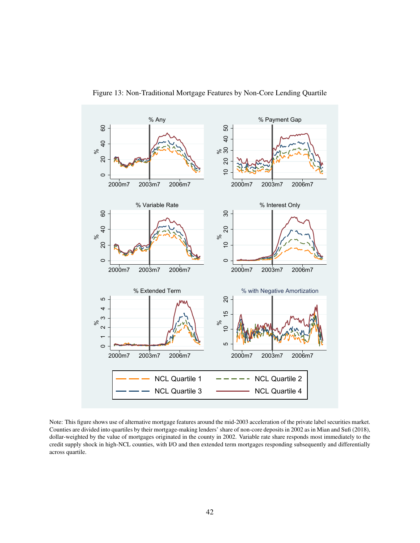<span id="page-42-0"></span>

Figure 13: Non-Traditional Mortgage Features by Non-Core Lending Quartile

Note: This figure shows use of alternative mortgage features around the mid-2003 acceleration of the private label securities market. Counties are divided into quartiles by their mortgage-making lenders' share of non-core deposits in 2002 as in Mian and Sufi (2018), dollar-weighted by the value of mortgages originated in the county in 2002. Variable rate share responds most immediately to the credit supply shock in high-NCL counties, with I/O and then extended term mortgages responding subsequently and differentially across quartile.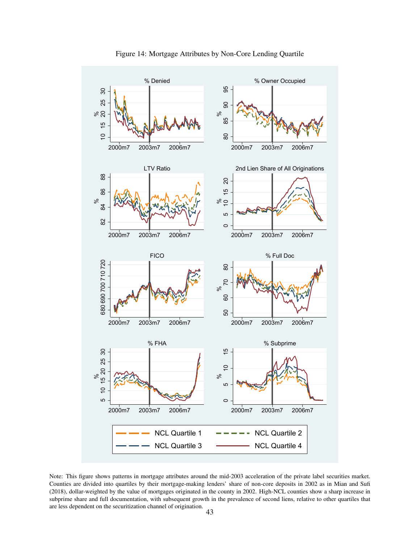<span id="page-43-0"></span>

Figure 14: Mortgage Attributes by Non-Core Lending Quartile

Note: This figure shows patterns in mortgage attributes around the mid-2003 acceleration of the private label securities market. Counties are divided into quartiles by their mortgage-making lenders' share of non-core deposits in 2002 as in Mian and Sufi (2018), dollar-weighted by the value of mortgages originated in the county in 2002. High-NCL counties show a sharp increase in subprime share and full documentation, with subsequent growth in the prevalence of second liens, relative to other quartiles that are less dependent on the securitization channel of origination.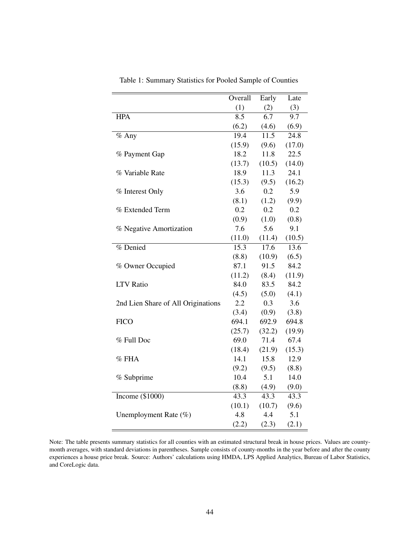<span id="page-44-0"></span>

|                                    | Overall          | Early  | Late   |
|------------------------------------|------------------|--------|--------|
|                                    | (1)              | (2)    | (3)    |
| <b>HPA</b>                         | $\overline{8.5}$ | 6.7    | 9.7    |
|                                    | (6.2)            | (4.6)  | (6.9)  |
| $%$ Any                            | 19.4             | 11.5   | 24.8   |
|                                    | (15.9)           | (9.6)  | (17.0) |
| % Payment Gap                      | 18.2             | 11.8   | 22.5   |
|                                    | (13.7)           | (10.5) | (14.0) |
| % Variable Rate                    | 18.9             | 11.3   | 24.1   |
|                                    | (15.3)           | (9.5)  | (16.2) |
| % Interest Only                    | 3.6              | 0.2    | 5.9    |
|                                    | (8.1)            | (1.2)  | (9.9)  |
| % Extended Term                    | 0.2              | 0.2    | 0.2    |
|                                    | (0.9)            | (1.0)  | (0.8)  |
| % Negative Amortization            | 7.6              | 5.6    | 9.1    |
|                                    | (11.0)           | (11.4) | (10.5) |
| % Denied                           | 15.3             | 17.6   | 13.6   |
|                                    | (8.8)            | (10.9) | (6.5)  |
| % Owner Occupied                   | 87.1             | 91.5   | 84.2   |
|                                    | (11.2)           | (8.4)  | (11.9) |
| <b>LTV</b> Ratio                   | 84.0             | 83.5   | 84.2   |
|                                    | (4.5)            | (5.0)  | (4.1)  |
| 2nd Lien Share of All Originations | 2.2              | 0.3    | 3.6    |
|                                    | (3.4)            | (0.9)  | (3.8)  |
| <b>FICO</b>                        | 694.1            | 692.9  | 694.8  |
|                                    | (25.7)           | (32.2) | (19.9) |
| % Full Doc                         | 69.0             | 71.4   | 67.4   |
|                                    | (18.4)           | (21.9) | (15.3) |
| % FHA                              | 14.1             | 15.8   | 12.9   |
|                                    | (9.2)            | (9.5)  | (8.8)  |
| % Subprime                         | 10.4             | 5.1    | 14.0   |
|                                    | (8.8)            | (4.9)  | (9.0)  |
| Income (\$1000)                    | 43.3             | 43.3   | 43.3   |
|                                    | (10.1)           | (10.7) | (9.6)  |
| Unemployment Rate (%)              | 4.8              | 4.4    | 5.1    |
|                                    | (2.2)            | (2.3)  | (2.1)  |

Table 1: Summary Statistics for Pooled Sample of Counties

Note: The table presents summary statistics for all counties with an estimated structural break in house prices. Values are countymonth averages, with standard deviations in parentheses. Sample consists of county-months in the year before and after the county experiences a house price break. Source: Authors' calculations using HMDA, LPS Applied Analytics, Bureau of Labor Statistics, and CoreLogic data.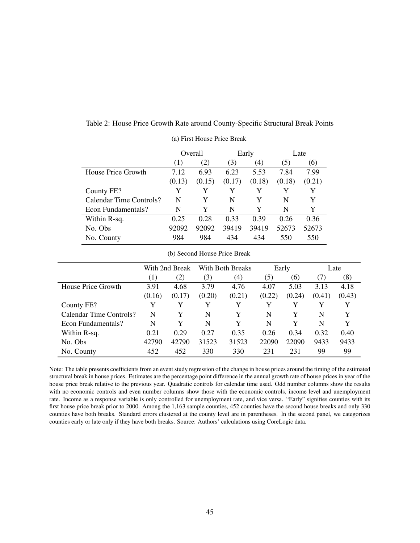|                         | Overall |        |        | Early  | Late   |        |  |
|-------------------------|---------|--------|--------|--------|--------|--------|--|
|                         | (1)     | (2)    | (3)    | (4)    | (5)    | (6)    |  |
| House Price Growth      | 7.12    | 6.93   | 6.23   | 5.53   | 7.84   | 7.99   |  |
|                         | (0.13)  | (0.15) | (0.17) | (0.18) | (0.18) | (0.21) |  |
| County FE?              | Y       | Y      | Y      | Y      | Y      | Y      |  |
| Calendar Time Controls? | N       | Y      | N      | Y      | N      | Y      |  |
| Econ Fundamentals?      | N       | Y      | N      | Y      | N      | Y      |  |
| Within R-sq.            | 0.25    | 0.28   | 0.33   | 0.39   | 0.26   | 0.36   |  |
| No. Obs                 | 92092   | 92092  | 39419  | 39419  | 52673  | 52673  |  |
| No. County              | 984     | 984    | 434    | 434    | 550    | 550    |  |

<span id="page-45-0"></span>Table 2: House Price Growth Rate around County-Specific Structural Break Points

(a) First House Price Break

| (b) Second House Price Break |  |  |  |
|------------------------------|--|--|--|
|------------------------------|--|--|--|

|                         | With 2nd Break   |        |        | With Both Breaks |        | Early  | Late   |        |
|-------------------------|------------------|--------|--------|------------------|--------|--------|--------|--------|
|                         | $\left(1\right)$ | (2)    | (3)    | (4)              | (5)    | (6)    | (7)    | (8)    |
| House Price Growth      | 3.91             | 4.68   | 3.79   | 4.76             | 4.07   | 5.03   | 3.13   | 4.18   |
|                         | (0.16)           | (0.17) | (0.20) | (0.21)           | (0.22) | (0.24) | (0.41) | (0.43) |
| County FE?              | Y                | Y      | Y      | Y                | Y      | Y      | Y      | Y      |
| Calendar Time Controls? | N                | Y      | N      | Y                | N      |        | N      | Y      |
| Econ Fundamentals?      | N                | Y      | N      | Y                | N      | Y      | N      | Y      |
| Within R-sq.            | 0.21             | 0.29   | 0.27   | 0.35             | 0.26   | 0.34   | 0.32   | 0.40   |
| No. Obs                 | 42790            | 42790  | 31523  | 31523            | 22090  | 22090  | 9433   | 9433   |
| No. County              | 452              | 452    | 330    | 330              | 231    | 231    | 99     | 99     |

Note: The table presents coefficients from an event study regression of the change in house prices around the timing of the estimated structural break in house prices. Estimates are the percentage point difference in the annual growth rate of house prices in year of the house price break relative to the previous year. Quadratic controls for calendar time used. Odd number columns show the results with no economic controls and even number columns show those with the economic controls, income level and unemployment rate. Income as a response variable is only controlled for unemployment rate, and vice versa. "Early" signifies counties with its first house price break prior to 2000. Among the 1,163 sample counties, 452 counties have the second house breaks and only 330 counties have both breaks. Standard errors clustered at the county level are in parentheses. In the second panel, we categorizes counties early or late only if they have both breaks. Source: Authors' calculations using CoreLogic data.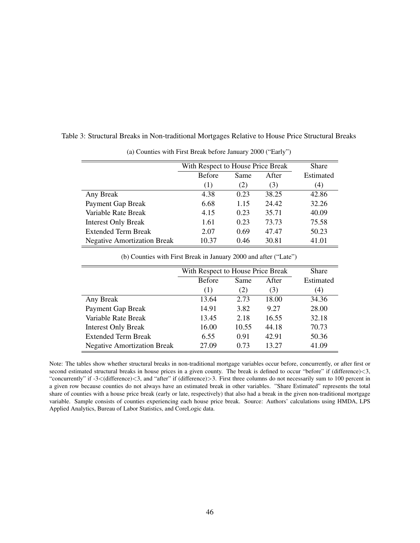|                                    | With Respect to House Price Break |      | <b>Share</b> |           |
|------------------------------------|-----------------------------------|------|--------------|-----------|
|                                    | <b>Before</b>                     | Same | After        | Estimated |
|                                    | (1)                               | (2)  | (3)          | (4)       |
| Any Break                          | 4.38                              | 0.23 | 38.25        | 42.86     |
| Payment Gap Break                  | 6.68                              | 1.15 | 24.42        | 32.26     |
| Variable Rate Break                | 4.15                              | 0.23 | 35.71        | 40.09     |
| <b>Interest Only Break</b>         | 1.61                              | 0.23 | 73.73        | 75.58     |
| <b>Extended Term Break</b>         | 2.07                              | 0.69 | 47.47        | 50.23     |
| <b>Negative Amortization Break</b> | 10.37                             | 0.46 | 30.81        | 41.01     |

<span id="page-46-0"></span>Table 3: Structural Breaks in Non-traditional Mortgages Relative to House Price Structural Breaks

(a) Counties with First Break before January 2000 ("Early")

(b) Counties with First Break in January 2000 and after ("Late")

|                                    | With Respect to House Price Break |       | <b>Share</b> |       |
|------------------------------------|-----------------------------------|-------|--------------|-------|
|                                    | <b>Before</b>                     | After | Estimated    |       |
|                                    | (1)                               | (2)   | (3)          | (4)   |
| Any Break                          | 13.64                             | 2.73  | 18.00        | 34.36 |
| Payment Gap Break                  | 14.91                             | 3.82  | 9.27         | 28.00 |
| Variable Rate Break                | 13.45                             | 2.18  | 16.55        | 32.18 |
| <b>Interest Only Break</b>         | 16.00                             | 10.55 | 44.18        | 70.73 |
| <b>Extended Term Break</b>         | 6.55                              | 0.91  | 42.91        | 50.36 |
| <b>Negative Amortization Break</b> | 27.09                             | 0.73  | 13.27        | 41.09 |

Note: The tables show whether structural breaks in non-traditional mortgage variables occur before, concurrently, or after first or second estimated structural breaks in house prices in a given county. The break is defined to occur "before" if (difference)<3, "concurrently" if -3<(difference)<3, and "after" if (difference)>3. First three columns do not necessarily sum to 100 percent in a given row because counties do not always have an estimated break in other variables. "Share Estimated" represents the total share of counties with a house price break (early or late, respectively) that also had a break in the given non-traditional mortgage variable. Sample consists of counties experiencing each house price break. Source: Authors' calculations using HMDA, LPS Applied Analytics, Bureau of Labor Statistics, and CoreLogic data.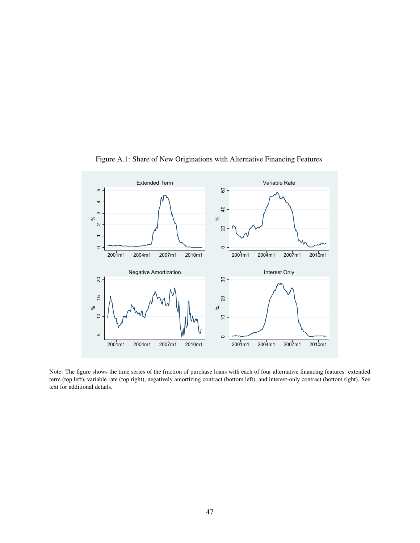<span id="page-47-0"></span>

Figure A.1: Share of New Originations with Alternative Financing Features

Note: The figure shows the time series of the fraction of purchase loans with each of four alternative financing features: extended term (top left), variable rate (top right), negatively amortizing contract (bottom left), and interest-only contract (bottom right). See text for additional details.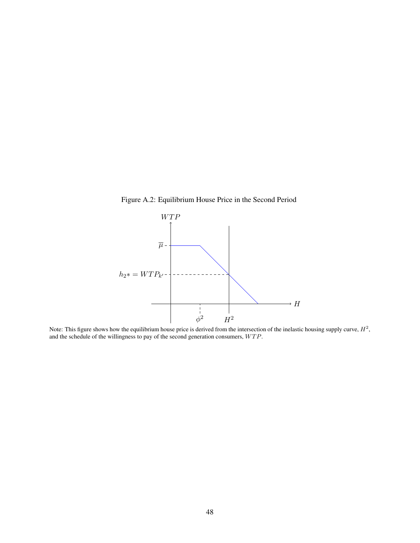Figure A.2: Equilibrium House Price in the Second Period

<span id="page-48-0"></span>

Note: This figure shows how the equilibrium house price is derived from the intersection of the inelastic housing supply curve,  $H^2$ , and the schedule of the willingness to pay of the second generation consumers,  $WTP$ .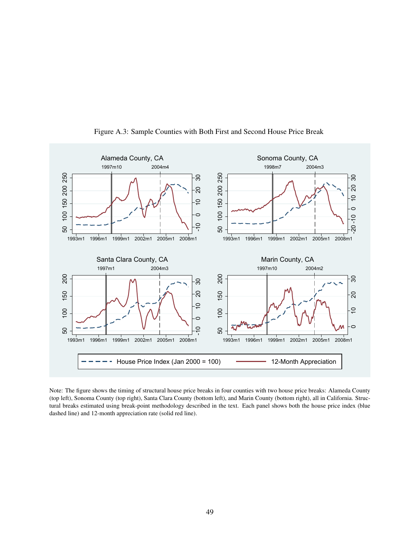<span id="page-49-0"></span>

Figure A.3: Sample Counties with Both First and Second House Price Break

Note: The figure shows the timing of structural house price breaks in four counties with two house price breaks: Alameda County (top left), Sonoma County (top right), Santa Clara County (bottom left), and Marin County (bottom right), all in California. Structural breaks estimated using break-point methodology described in the text. Each panel shows both the house price index (blue dashed line) and 12-month appreciation rate (solid red line).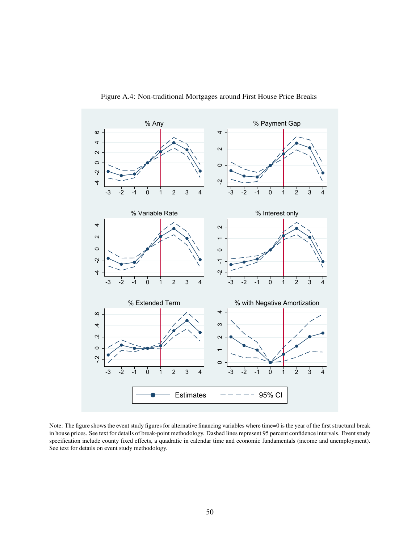<span id="page-50-0"></span>

Figure A.4: Non-traditional Mortgages around First House Price Breaks

Note: The figure shows the event study figures for alternative financing variables where time=0 is the year of the first structural break in house prices. See text for details of break-point methodology. Dashed lines represent 95 percent confidence intervals. Event study specification include county fixed effects, a quadratic in calendar time and economic fundamentals (income and unemployment). See text for details on event study methodology.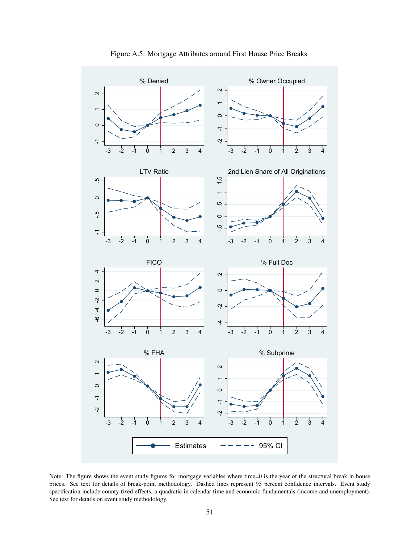<span id="page-51-0"></span>

Figure A.5: Mortgage Attributes around First House Price Breaks

Note: The figure shows the event study figures for mortgage variables where time=0 is the year of the structural break in house prices. See text for details of break-point methodology. Dashed lines represent 95 percent confidence intervals. Event study specification include county fixed effects, a quadratic in calendar time and economic fundamentals (income and unemployment). See text for details on event study methodology.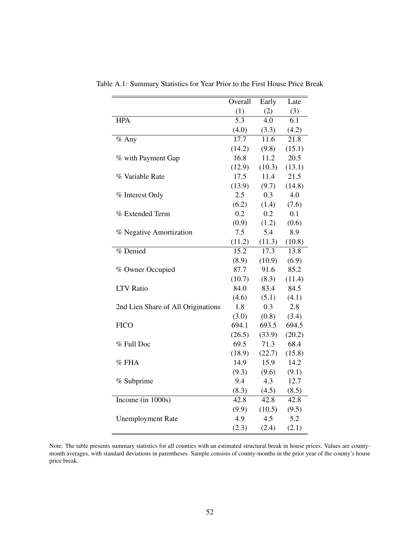|                                    | Overall | Early  | Late   |
|------------------------------------|---------|--------|--------|
|                                    | (1)     | (2)    | (3)    |
| <b>HPA</b>                         | 5.3     | 4.0    | 6.1    |
|                                    | (4.0)   | (3.3)  | (4.2)  |
| $%$ Any                            | 17.7    | 11.6   | 21.8   |
|                                    | (14.2)  | (9.8)  | (15.1) |
| % with Payment Gap                 | 16.8    | 11.2   | 20.5   |
|                                    | (12.9)  | (10.3) | (13.1) |
| % Variable Rate                    | 17.5    | 11.4   | 21.5   |
|                                    | (13.9)  | (9.7)  | (14.8) |
| % Interest Only                    | 2.5     | 0.3    | 4.0    |
|                                    | (6.2)   | (1.4)  | (7.6)  |
| % Extended Term                    | 0.2     | 0.2    | 0.1    |
|                                    | (0.9)   | (1.2)  | (0.6)  |
| % Negative Amortization            | 7.5     | 5.4    | 8.9    |
|                                    | (11.2)  | (11.3) | (10.8) |
| % Denied                           | 15.2    | 17.3   | 13.8   |
|                                    | (8.9)   | (10.9) | (6.9)  |
| % Owner Occupied                   | 87.7    | 91.6   | 85.2   |
|                                    | (10.7)  | (8.3)  | (11.4) |
| <b>LTV</b> Ratio                   | 84.0    | 83.4   | 84.5   |
|                                    | (4.6)   | (5.1)  | (4.1)  |
| 2nd Lien Share of All Originations | 1.8     | 0.3    | 2.8    |
|                                    | (3.0)   | (0.8)  | (3.4)  |
| <b>FICO</b>                        | 694.1   | 693.5  | 694.5  |
|                                    | (26.5)  | (33.9) | (20.2) |
| % Full Doc                         | 69.5    | 71.3   | 68.4   |
|                                    | (18.9)  | (22.7) | (15.8) |
| % FHA                              | 14.9    | 15.9   | 14.2   |
|                                    | (9.3)   | (9.6)  | (9.1)  |
| % Subprime                         | 9.4     | 4.3    | 12.7   |
|                                    | (8.3)   | (4.5)  | (8.5)  |
| Income (in $1000s$ )               | 42.8    | 42.8   | 42.8   |
|                                    | (9.9)   | (10.5) | (9.5)  |
| <b>Unemployment Rate</b>           | 4.9     | 4.5    | 5.2    |
|                                    | (2.3)   | (2.4)  | (2.1)  |

<span id="page-52-0"></span>Table A.1: Summary Statistics for Year Prior to the First House Price Break

Note: The table presents summary statistics for all counties with an estimated structural break in house prices. Values are countymonth averages, with standard deviations in parentheses. Sample consists of county-months in the prior year of the county's house price break.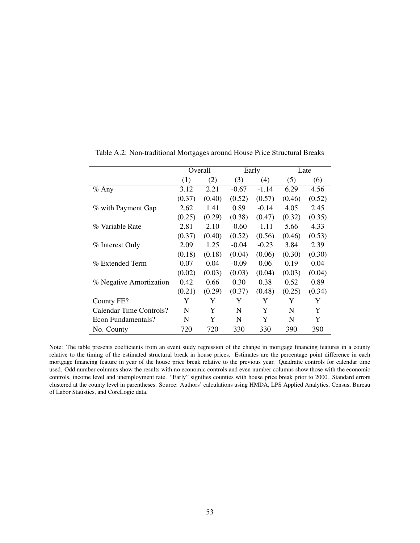|                         |        | Overall |         | Early   |        | Late   |
|-------------------------|--------|---------|---------|---------|--------|--------|
|                         | (1)    | (2)     | (3)     | (4)     | (5)    | (6)    |
| $%$ Any                 | 3.12   | 2.21    | $-0.67$ | $-1.14$ | 6.29   | 4.56   |
|                         | (0.37) | (0.40)  | (0.52)  | (0.57)  | (0.46) | (0.52) |
| % with Payment Gap      | 2.62   | 1.41    | 0.89    | $-0.14$ | 4.05   | 2.45   |
|                         | (0.25) | (0.29)  | (0.38)  | (0.47)  | (0.32) | (0.35) |
| % Variable Rate         | 2.81   | 2.10    | $-0.60$ | -1.11   | 5.66   | 4.33   |
|                         | (0.37) | (0.40)  | (0.52)  | (0.56)  | (0.46) | (0.53) |
| % Interest Only         | 2.09   | 1.25    | $-0.04$ | $-0.23$ | 3.84   | 2.39   |
|                         | (0.18) | (0.18)  | (0.04)  | (0.06)  | (0.30) | (0.30) |
| % Extended Term         | 0.07   | 0.04    | $-0.09$ | 0.06    | 0.19   | 0.04   |
|                         | (0.02) | (0.03)  | (0.03)  | (0.04)  | (0.03) | (0.04) |
| % Negative Amortization | 0.42   | 0.66    | 0.30    | 0.38    | 0.52   | 0.89   |
|                         | (0.21) | (0.29)  | (0.37)  | (0.48)  | (0.25) | (0.34) |
| County FE?              | Y      | Y       | Y       | Y       | Y      | Y      |
| Calendar Time Controls? | N      | Y       | N       | Y       | N      | Y      |
| Econ Fundamentals?      | N      | Y       | N       | Y       | N      | Y      |
| No. County              | 720    | 720     | 330     | 330     | 390    | 390    |

Table A.2: Non-traditional Mortgages around House Price Structural Breaks

Note: The table presents coefficients from an event study regression of the change in mortgage financing features in a county relative to the timing of the estimated structural break in house prices. Estimates are the percentage point difference in each mortgage financing feature in year of the house price break relative to the previous year. Quadratic controls for calendar time used. Odd number columns show the results with no economic controls and even number columns show those with the economic controls, income level and unemployment rate. "Early" signifies counties with house price break prior to 2000. Standard errors clustered at the county level in parentheses. Source: Authors' calculations using HMDA, LPS Applied Analytics, Census, Bureau of Labor Statistics, and CoreLogic data.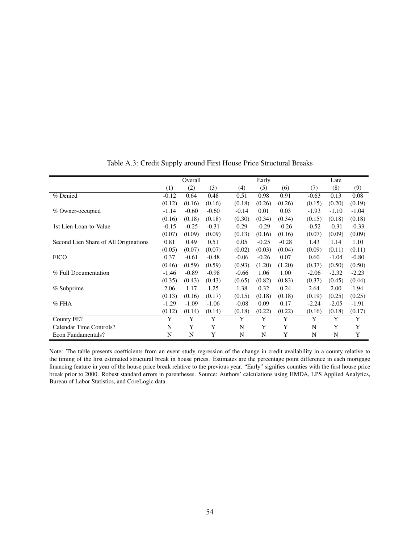|                                       |         | Overall |         |         | Early   |         |         | Late    |         |  |
|---------------------------------------|---------|---------|---------|---------|---------|---------|---------|---------|---------|--|
|                                       | (1)     | (2)     | (3)     | (4)     | (5)     | (6)     | (7)     | (8)     | (9)     |  |
| % Denied                              | $-0.12$ | 0.64    | 0.48    | 0.51    | 0.98    | 0.91    | $-0.63$ | 0.13    | 0.08    |  |
|                                       | (0.12)  | (0.16)  | (0.16)  | (0.18)  | (0.26)  | (0.26)  | (0.15)  | (0.20)  | (0.19)  |  |
| % Owner-occupied                      | $-1.14$ | $-0.60$ | $-0.60$ | $-0.14$ | 0.01    | 0.03    | $-1.93$ | $-1.10$ | $-1.04$ |  |
|                                       | (0.16)  | (0.18)  | (0.18)  | (0.30)  | (0.34)  | (0.34)  | (0.15)  | (0.18)  | (0.18)  |  |
| 1st Lien Loan-to-Value                | $-0.15$ | $-0.25$ | $-0.31$ | 0.29    | $-0.29$ | $-0.26$ | $-0.52$ | $-0.31$ | $-0.33$ |  |
|                                       | (0.07)  | (0.09)  | (0.09)  | (0.13)  | (0.16)  | (0.16)  | (0.07)  | (0.09)  | (0.09)  |  |
| Second Lien Share of All Originations | 0.81    | 0.49    | 0.51    | 0.05    | $-0.25$ | $-0.28$ | 1.43    | 1.14    | 1.10    |  |
|                                       | (0.05)  | (0.07)  | (0.07)  | (0.02)  | (0.03)  | (0.04)  | (0.09)  | (0.11)  | (0.11)  |  |
| <b>FICO</b>                           | 0.37    | $-0.61$ | $-0.48$ | $-0.06$ | $-0.26$ | 0.07    | 0.60    | $-1.04$ | $-0.80$ |  |
|                                       | (0.46)  | (0.59)  | (0.59)  | (0.93)  | (1.20)  | (1.20)  | (0.37)  | (0.50)  | (0.50)  |  |
| % Full Documentation                  | $-1.46$ | $-0.89$ | $-0.98$ | $-0.66$ | 1.06    | 1.00    | $-2.06$ | $-2.32$ | $-2.23$ |  |
|                                       | (0.35)  | (0.43)  | (0.43)  | (0.65)  | (0.82)  | (0.83)  | (0.37)  | (0.45)  | (0.44)  |  |
| % Subprime                            | 2.06    | 1.17    | 1.25    | 1.38    | 0.32    | 0.24    | 2.64    | 2.00    | 1.94    |  |
|                                       | (0.13)  | (0.16)  | (0.17)  | (0.15)  | (0.18)  | (0.18)  | (0.19)  | (0.25)  | (0.25)  |  |
| $%$ FHA                               | $-1.29$ | $-1.09$ | $-1.06$ | $-0.08$ | 0.09    | 0.17    | $-2.24$ | $-2.05$ | $-1.91$ |  |
|                                       | (0.12)  | (0.14)  | (0.14)  | (0.18)  | (0.22)  | (0.22)  | (0.16)  | (0.18)  | (0.17)  |  |
| County FE?                            | Y       | Y       | Y       | Y       | Y       | Y       | Y       | Y       | Y       |  |
| Calendar Time Controls?               | N       | Y       | Y       | N       | Y       | Y       | N       | Y       | Y       |  |
| Econ Fundamentals?                    | N       | N       | Y       | N       | N       | Y       | N       | N       | Y       |  |

Table A.3: Credit Supply around First House Price Structural Breaks

Note: The table presents coefficients from an event study regression of the change in credit availability in a county relative to the timing of the first estimated structural break in house prices. Estimates are the percentage point difference in each mortgage financing feature in year of the house price break relative to the previous year. "Early" signifies counties with the first house price break prior to 2000. Robust standard errors in parentheses. Source: Authors' calculations using HMDA, LPS Applied Analytics, Bureau of Labor Statistics, and CoreLogic data.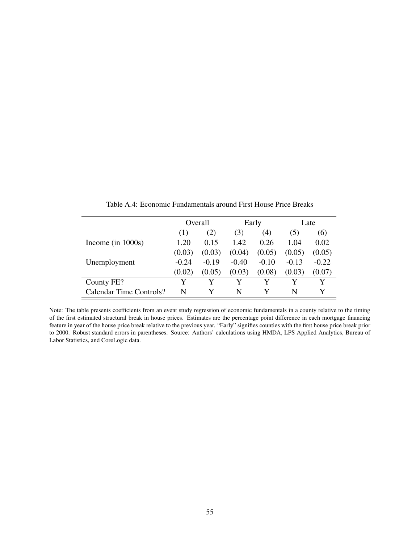<span id="page-55-0"></span>

|                         | Overall |         |         | Early   | Late    |         |  |
|-------------------------|---------|---------|---------|---------|---------|---------|--|
|                         | (1)     | (2)     | (3)     | (4)     | (5)     | (6)     |  |
| Income (in $1000s$ )    | 1.20    | 0.15    | 1.42    | 0.26    | 1.04    | 0.02    |  |
|                         | (0.03)  | (0.03)  | (0.04)  | (0.05)  | (0.05)  | (0.05)  |  |
| Unemployment            | $-0.24$ | $-0.19$ | $-0.40$ | $-0.10$ | $-0.13$ | $-0.22$ |  |
|                         | (0.02)  | (0.05)  | (0.03)  | (0.08)  | (0.03)  | (0.07)  |  |
| County FE?              | v       |         |         |         |         | Y       |  |
| Calendar Time Controls? | N       | Y       | N       | Y       | N       | Y       |  |

Table A.4: Economic Fundamentals around First House Price Breaks

Note: The table presents coefficients from an event study regression of economic fundamentals in a county relative to the timing of the first estimated structural break in house prices. Estimates are the percentage point difference in each mortgage financing feature in year of the house price break relative to the previous year. "Early" signifies counties with the first house price break prior to 2000. Robust standard errors in parentheses. Source: Authors' calculations using HMDA, LPS Applied Analytics, Bureau of Labor Statistics, and CoreLogic data.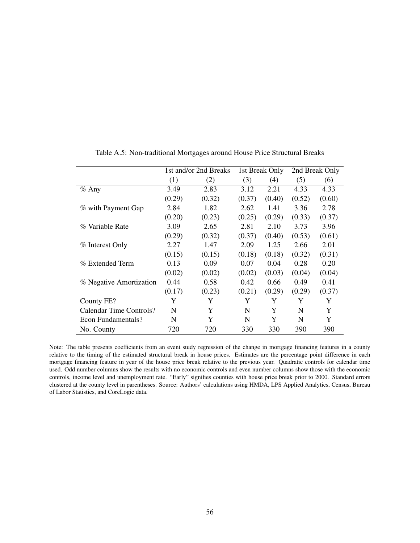<span id="page-56-0"></span>

|                                |        | 1st and/or 2nd Breaks |        | 1st Break Only | 2nd Break Only |        |  |
|--------------------------------|--------|-----------------------|--------|----------------|----------------|--------|--|
|                                | (1)    | (2)                   | (3)    | (4)            | (5)            | (6)    |  |
| $%$ Any                        | 3.49   | 2.83                  | 3.12   | 2.21           | 4.33           | 4.33   |  |
|                                | (0.29) | (0.32)                | (0.37) | (0.40)         | (0.52)         | (0.60) |  |
| % with Payment Gap             | 2.84   | 1.82                  | 2.62   | 1.41           | 3.36           | 2.78   |  |
|                                | (0.20) | (0.23)                | (0.25) | (0.29)         | (0.33)         | (0.37) |  |
| % Variable Rate                | 3.09   | 2.65                  | 2.81   | 2.10           | 3.73           | 3.96   |  |
|                                | (0.29) | (0.32)                | (0.37) | (0.40)         | (0.53)         | (0.61) |  |
| % Interest Only                | 2.27   | 1.47                  | 2.09   | 1.25           | 2.66           | 2.01   |  |
|                                | (0.15) | (0.15)                | (0.18) | (0.18)         | (0.32)         | (0.31) |  |
| % Extended Term                | 0.13   | 0.09                  | 0.07   | 0.04           | 0.28           | 0.20   |  |
|                                | (0.02) | (0.02)                | (0.02) | (0.03)         | (0.04)         | (0.04) |  |
| % Negative Amortization        | 0.44   | 0.58                  | 0.42   | 0.66           | 0.49           | 0.41   |  |
|                                | (0.17) | (0.23)                | (0.21) | (0.29)         | (0.29)         | (0.37) |  |
| County FE?                     | Y      | Y                     | Y      | Y              | Y              | Y      |  |
| <b>Calendar Time Controls?</b> | N      | Y                     | N      | Y              | N              | Y      |  |
| Econ Fundamentals?             | N      | Y                     | N      | Y              | N              | Y      |  |
| No. County                     | 720    | 720                   | 330    | 330            | 390            | 390    |  |

Table A.5: Non-traditional Mortgages around House Price Structural Breaks

Note: The table presents coefficients from an event study regression of the change in mortgage financing features in a county relative to the timing of the estimated structural break in house prices. Estimates are the percentage point difference in each mortgage financing feature in year of the house price break relative to the previous year. Quadratic controls for calendar time used. Odd number columns show the results with no economic controls and even number columns show those with the economic controls, income level and unemployment rate. "Early" signifies counties with house price break prior to 2000. Standard errors clustered at the county level in parentheses. Source: Authors' calculations using HMDA, LPS Applied Analytics, Census, Bureau of Labor Statistics, and CoreLogic data.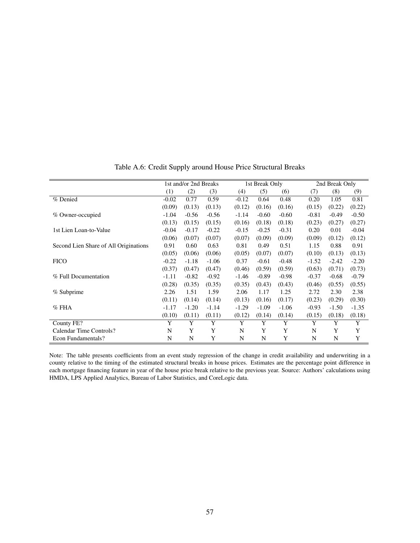<span id="page-57-0"></span>

|                                       |         | 1st and/or 2nd Breaks |         |         | 1st Break Only |         |         | 2nd Break Only |         |
|---------------------------------------|---------|-----------------------|---------|---------|----------------|---------|---------|----------------|---------|
|                                       | (1)     | (2)                   | (3)     | (4)     | (5)            | (6)     | (7)     | (8)            | (9)     |
| % Denied                              | $-0.02$ | 0.77                  | 0.59    | $-0.12$ | 0.64           | 0.48    | 0.20    | 1.05           | 0.81    |
|                                       | (0.09)  | (0.13)                | (0.13)  | (0.12)  | (0.16)         | (0.16)  | (0.15)  | (0.22)         | (0.22)  |
| % Owner-occupied                      | $-1.04$ | $-0.56$               | $-0.56$ | $-1.14$ | $-0.60$        | $-0.60$ | $-0.81$ | $-0.49$        | $-0.50$ |
|                                       | (0.13)  | (0.15)                | (0.15)  | (0.16)  | (0.18)         | (0.18)  | (0.23)  | (0.27)         | (0.27)  |
| 1st Lien Loan-to-Value                | $-0.04$ | $-0.17$               | $-0.22$ | $-0.15$ | $-0.25$        | $-0.31$ | 0.20    | 0.01           | $-0.04$ |
|                                       | (0.06)  | (0.07)                | (0.07)  | (0.07)  | (0.09)         | (0.09)  | (0.09)  | (0.12)         | (0.12)  |
| Second Lien Share of All Originations | 0.91    | 0.60                  | 0.63    | 0.81    | 0.49           | 0.51    | 1.15    | 0.88           | 0.91    |
|                                       | (0.05)  | (0.06)                | (0.06)  | (0.05)  | (0.07)         | (0.07)  | (0.10)  | (0.13)         | (0.13)  |
| <b>FICO</b>                           | $-0.22$ | $-1.18$               | $-1.06$ | 0.37    | $-0.61$        | $-0.48$ | $-1.52$ | $-2.42$        | $-2.20$ |
|                                       | (0.37)  | (0.47)                | (0.47)  | (0.46)  | (0.59)         | (0.59)  | (0.63)  | (0.71)         | (0.73)  |
| % Full Documentation                  | $-1.11$ | $-0.82$               | $-0.92$ | $-1.46$ | $-0.89$        | $-0.98$ | $-0.37$ | $-0.68$        | $-0.79$ |
|                                       | (0.28)  | (0.35)                | (0.35)  | (0.35)  | (0.43)         | (0.43)  | (0.46)  | (0.55)         | (0.55)  |
| % Subprime                            | 2.26    | 1.51                  | 1.59    | 2.06    | 1.17           | 1.25    | 2.72    | 2.30           | 2.38    |
|                                       | (0.11)  | (0.14)                | (0.14)  | (0.13)  | (0.16)         | (0.17)  | (0.23)  | (0.29)         | (0.30)  |
| $%$ FHA                               | $-1.17$ | $-1.20$               | $-1.14$ | $-1.29$ | $-1.09$        | $-1.06$ | $-0.93$ | $-1.50$        | $-1.35$ |
|                                       | (0.10)  | (0.11)                | (0.11)  | (0.12)  | (0.14)         | (0.14)  | (0.15)  | (0.18)         | (0.18)  |
| County FE?                            | Y       | Y                     | Y       | Y       | Y              | Y       | Y       | Y              | Y       |
| Calendar Time Controls?               | N       | Y                     | Y       | N       | Y              | Y       | N       | Y              | Y       |
| Econ Fundamentals?                    | N       | N                     | Y       | N       | N              | Y       | N       | N              | Y       |

Table A.6: Credit Supply around House Price Structural Breaks

Note: The table presents coefficients from an event study regression of the change in credit availability and underwriting in a county relative to the timing of the estimated structural breaks in house prices. Estimates are the percentage point difference in each mortgage financing feature in year of the house price break relative to the previous year. Source: Authors' calculations using HMDA, LPS Applied Analytics, Bureau of Labor Statistics, and CoreLogic data.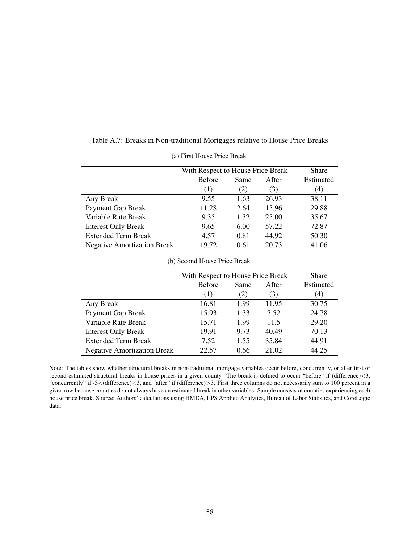|                                    | With Respect to House Price Break | <b>Share</b> |       |       |
|------------------------------------|-----------------------------------|--------------|-------|-------|
|                                    | <b>Before</b>                     | Estimated    |       |       |
|                                    | (1)                               | (2)          | (3)   | (4)   |
| Any Break                          | 9.55                              | 1.63         | 26.93 | 38.11 |
| Payment Gap Break                  | 11.28                             | 2.64         | 15.96 | 29.88 |
| Variable Rate Break                | 9.35                              | 1.32         | 25.00 | 35.67 |
| <b>Interest Only Break</b>         | 9.65                              | 6.00         | 57.22 | 72.87 |
| <b>Extended Term Break</b>         | 4.57                              | 0.81         | 44.92 | 50.30 |
| <b>Negative Amortization Break</b> | 19.72                             | 0.61         | 20.73 | 41.06 |

<span id="page-58-0"></span>Table A.7: Breaks in Non-traditional Mortgages relative to House Price Breaks

(a) First House Price Break

(b) Second House Price Break

|                                    | With Respect to House Price Break | <b>Share</b> |       |       |
|------------------------------------|-----------------------------------|--------------|-------|-------|
|                                    | <b>Before</b>                     | Estimated    |       |       |
|                                    | (1)                               | (2)          | (3)   | (4)   |
| Any Break                          | 16.81                             | 1.99         | 11.95 | 30.75 |
| Payment Gap Break                  | 15.93                             | 1.33         | 7.52  | 24.78 |
| Variable Rate Break                | 15.71                             | 1.99         | 11.5  | 29.20 |
| <b>Interest Only Break</b>         | 19.91                             | 9.73         | 40.49 | 70.13 |
| <b>Extended Term Break</b>         | 7.52                              | 1.55         | 35.84 | 44.91 |
| <b>Negative Amortization Break</b> | 22.57                             | 0.66         | 21.02 | 44.25 |

Note: The tables show whether structural breaks in non-traditional mortgage variables occur before, concurrently, or after first or second estimated structural breaks in house prices in a given county. The break is defined to occur "before" if (difference)<3, "concurrently" if -3<(difference)<3, and "after" if (difference)>3. First three columns do not necessarily sum to 100 percent in a given row because counties do not always have an estimated break in other variables. Sample consists of counties experiencing each house price break. Source: Authors' calculations using HMDA, LPS Applied Analytics, Bureau of Labor Statistics, and CoreLogic data.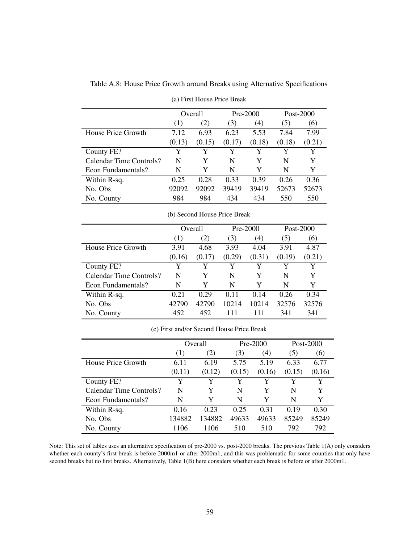|                         | Overall |        | Pre-2000 |        |        | Post-2000 |
|-------------------------|---------|--------|----------|--------|--------|-----------|
|                         | (1)     | (2)    | (3)      | (4)    | (5)    | (6)       |
| House Price Growth      | 7.12    | 6.93   | 6.23     | 5.53   | 7.84   | 7.99      |
|                         | (0.13)  | (0.15) | (0.17)   | (0.18) | (0.18) | (0.21)    |
| County FE?              | Y       | Y      | Y        | Y      | Y      | Y         |
| Calendar Time Controls? | N       | Y      | N        | Y      | N      | Y         |
| Econ Fundamentals?      | N       | Y      | N        | Y      | N      | Y         |
| Within R-sq.            | 0.25    | 0.28   | 0.33     | 0.39   | 0.26   | 0.36      |
| No. Obs                 | 92092   | 92092  | 39419    | 39419  | 52673  | 52673     |
| No. County              | 984     | 984    | 434      | 434    | 550    | 550       |

<span id="page-59-0"></span>Table A.8: House Price Growth around Breaks using Alternative Specifications

| (a) First House Price Break |
|-----------------------------|
|-----------------------------|

|                         | Overall |        | Pre-2000 |        | Post-2000 |        |
|-------------------------|---------|--------|----------|--------|-----------|--------|
|                         | (1)     | (2)    | (3)      | (4)    | (5)       | (6)    |
| House Price Growth      | 3.91    | 4.68   | 3.93     | 4.04   | 3.91      | 4.87   |
|                         | (0.16)  | (0.17) | (0.29)   | (0.31) | (0.19)    | (0.21) |
| County FE?              | Y       | Y      | Y        | Y      | Y         | Y      |
| Calendar Time Controls? | N       | Y      | N        | Y      | N         | Y      |
| Econ Fundamentals?      | N       | Y      | N        | Y      | N         | Y      |
| Within R-sq.            | 0.21    | 0.29   | 0.11     | 0.14   | 0.26      | 0.34   |
| No. Obs.                | 42790   | 42790  | 10214    | 10214  | 32576     | 32576  |
| No. County              | 452     | 452    | 111      | 111    | 341       | 341    |

(c) First and/or Second House Price Break

|                         | Overall |        | Pre-2000 |        | Post-2000 |        |
|-------------------------|---------|--------|----------|--------|-----------|--------|
|                         | (1)     | (2)    | (3)      | (4)    | (5)       | (6)    |
| House Price Growth      | 6.11    | 6.19   | 5.75     | 5.19   | 6.33      | 6.77   |
|                         | (0.11)  | (0.12) | (0.15)   | (0.16) | (0.15)    | (0.16) |
| County FE?              | Y       | Y      | Y        | Y      | Y         | Y      |
| Calendar Time Controls? | N       | Y      | N        | Y      | N         | Y      |
| Econ Fundamentals?      | N       | Y      | N        | Y      | N         | Y      |
| Within R-sq.            | 0.16    | 0.23   | 0.25     | 0.31   | 0.19      | 0.30   |
| No. Obs                 | 134882  | 134882 | 49633    | 49633  | 85249     | 85249  |
| No. County              | 1106    | 1106   | 510      | 510    | 792       | 792    |

Note: This set of tables uses an alternative specification of pre-2000 vs. post-2000 breaks. The previous Table 1(A) only considers whether each county's first break is before 2000m1 or after 2000m1, and this was problematic for some counties that only have second breaks but no first breaks. Alternatively, Table 1(B) here considers whether each break is before or after 2000m1.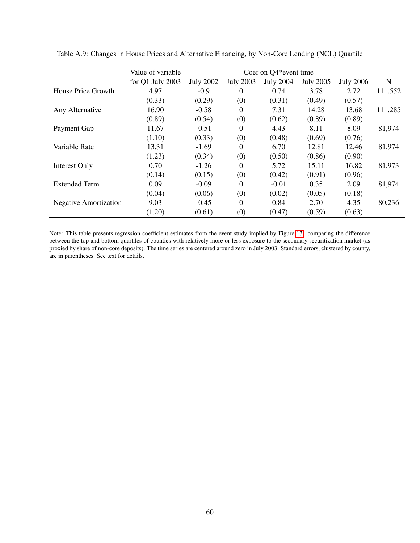|                              | Value of variable<br>Coef on Q4 <sup>*</sup> event time |                  |                  |                  |                  |                  |         |  |
|------------------------------|---------------------------------------------------------|------------------|------------------|------------------|------------------|------------------|---------|--|
|                              | for $Q1$ July 2003                                      | <b>July 2002</b> | <b>July 2003</b> | <b>July 2004</b> | <b>July 2005</b> | <b>July 2006</b> | N       |  |
| House Price Growth           | 4.97                                                    | $-0.9$           | $\theta$         | 0.74             | 3.78             | 2.72             | 111,552 |  |
|                              | (0.33)                                                  | (0.29)           | (0)              | (0.31)           | (0.49)           | (0.57)           |         |  |
| Any Alternative              | 16.90                                                   | $-0.58$          | $\theta$         | 7.31             | 14.28            | 13.68            | 111,285 |  |
|                              | (0.89)                                                  | (0.54)           | (0)              | (0.62)           | (0.89)           | (0.89)           |         |  |
| Payment Gap                  | 11.67                                                   | $-0.51$          | 0                | 4.43             | 8.11             | 8.09             | 81,974  |  |
|                              | (1.10)                                                  | (0.33)           | (0)              | (0.48)           | (0.69)           | (0.76)           |         |  |
| Variable Rate                | 13.31                                                   | $-1.69$          | $\theta$         | 6.70             | 12.81            | 12.46            | 81,974  |  |
|                              | (1.23)                                                  | (0.34)           | (0)              | (0.50)           | (0.86)           | (0.90)           |         |  |
| Interest Only                | 0.70                                                    | $-1.26$          | $\theta$         | 5.72             | 15.11            | 16.82            | 81,973  |  |
|                              | (0.14)                                                  | (0.15)           | (0)              | (0.42)           | (0.91)           | (0.96)           |         |  |
| <b>Extended Term</b>         | 0.09                                                    | $-0.09$          | $\theta$         | $-0.01$          | 0.35             | 2.09             | 81,974  |  |
|                              | (0.04)                                                  | (0.06)           | (0)              | (0.02)           | (0.05)           | (0.18)           |         |  |
| <b>Negative Amortization</b> | 9.03                                                    | $-0.45$          | $\boldsymbol{0}$ | 0.84             | 2.70             | 4.35             | 80,236  |  |
|                              | (1.20)                                                  | (0.61)           | (0)              | (0.47)           | (0.59)           | (0.63)           |         |  |

<span id="page-60-0"></span>Table A.9: Changes in House Prices and Alternative Financing, by Non-Core Lending (NCL) Quartile

Note: This table presents regression coefficient estimates from the event study implied by Figure [13.](#page-42-0) comparing the difference between the top and bottom quartiles of counties with relatively more or less exposure to the secondary securitization market (as proxied by share of non-core deposits). The time series are centered around zero in July 2003. Standard errors, clustered by county, are in parentheses. See text for details.